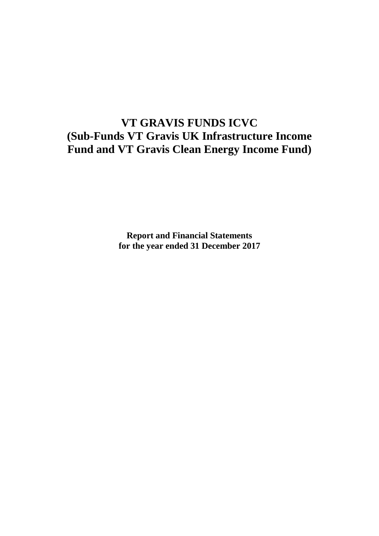# **VT GRAVIS FUNDS ICVC (Sub-Funds VT Gravis UK Infrastructure Income Fund and VT Gravis Clean Energy Income Fund)**

**Report and Financial Statements for the year ended 31 December 2017**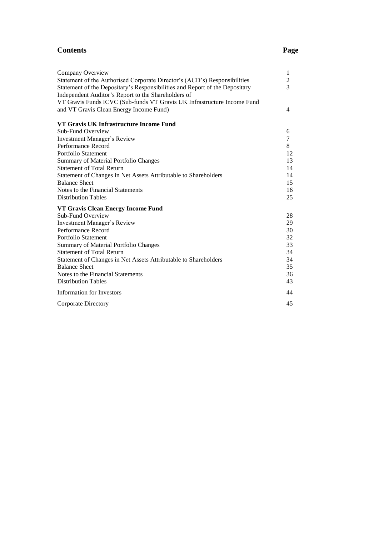## **Contents Page**

| Company Overview<br>Statement of the Authorised Corporate Director's (ACD's) Responsibilities<br>Statement of the Depositary's Responsibilities and Report of the Depositary<br>Independent Auditor's Report to the Shareholders of | 1<br>$\overline{c}$<br>3 |
|-------------------------------------------------------------------------------------------------------------------------------------------------------------------------------------------------------------------------------------|--------------------------|
| VT Gravis Funds ICVC (Sub-funds VT Gravis UK Infrastructure Income Fund<br>and VT Gravis Clean Energy Income Fund)                                                                                                                  | 4                        |
| VT Gravis UK Infrastructure Income Fund                                                                                                                                                                                             |                          |
| Sub-Fund Overview                                                                                                                                                                                                                   | 6                        |
| <b>Investment Manager's Review</b>                                                                                                                                                                                                  | $\tau$                   |
| Performance Record                                                                                                                                                                                                                  | 8                        |
| Portfolio Statement                                                                                                                                                                                                                 | 12                       |
| Summary of Material Portfolio Changes<br><b>Statement of Total Return</b>                                                                                                                                                           | 13<br>14                 |
| Statement of Changes in Net Assets Attributable to Shareholders                                                                                                                                                                     | 14                       |
| <b>Balance Sheet</b>                                                                                                                                                                                                                | 15                       |
| Notes to the Financial Statements                                                                                                                                                                                                   | 16                       |
| <b>Distribution Tables</b>                                                                                                                                                                                                          | 25                       |
| VT Gravis Clean Energy Income Fund                                                                                                                                                                                                  |                          |
| Sub-Fund Overview                                                                                                                                                                                                                   | 28                       |
| <b>Investment Manager's Review</b>                                                                                                                                                                                                  | 29                       |
| Performance Record                                                                                                                                                                                                                  | 30                       |
| Portfolio Statement                                                                                                                                                                                                                 | 32                       |
| Summary of Material Portfolio Changes                                                                                                                                                                                               | 33                       |
| <b>Statement of Total Return</b>                                                                                                                                                                                                    | 34                       |
| Statement of Changes in Net Assets Attributable to Shareholders                                                                                                                                                                     | 34                       |
| <b>Balance Sheet</b>                                                                                                                                                                                                                | 35                       |
| Notes to the Financial Statements                                                                                                                                                                                                   | 36                       |
| <b>Distribution Tables</b>                                                                                                                                                                                                          | 43                       |
| <b>Information for Investors</b>                                                                                                                                                                                                    | 44                       |
| Corporate Directory                                                                                                                                                                                                                 | 45                       |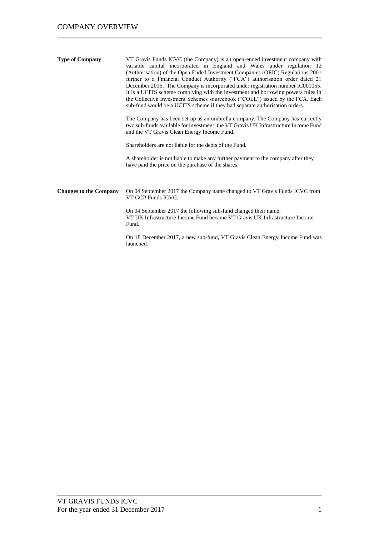| <b>Type of Company</b>        | VT Gravis Funds ICVC (the Company) is an open-ended investment company with<br>variable capital incorporated in England and Wales under regulation 12<br>(Authorisation) of the Open Ended Investment Companies (OEIC) Regulations 2001<br>further to a Financial Conduct Authority ("FCA") authorisation order dated 21<br>December 2015. The Company is incorporated under registration number IC001055.<br>It is a UCITS scheme complying with the investment and borrowing powers rules in<br>the Collective Investment Schemes sourcebook ("COLL") issued by the FCA. Each<br>sub-fund would be a UCITS scheme if they had separate authorisation orders. |
|-------------------------------|----------------------------------------------------------------------------------------------------------------------------------------------------------------------------------------------------------------------------------------------------------------------------------------------------------------------------------------------------------------------------------------------------------------------------------------------------------------------------------------------------------------------------------------------------------------------------------------------------------------------------------------------------------------|
|                               | The Company has been set up as an umbrella company. The Company has currently<br>two sub-funds available for investment, the VT Gravis UK Infrastructure Income Fund<br>and the VT Gravis Clean Energy Income Fund.                                                                                                                                                                                                                                                                                                                                                                                                                                            |
|                               | Shareholders are not liable for the debts of the Fund.                                                                                                                                                                                                                                                                                                                                                                                                                                                                                                                                                                                                         |
|                               | A shareholder is not liable to make any further payment to the company after they<br>have paid the price on the purchase of the shares.                                                                                                                                                                                                                                                                                                                                                                                                                                                                                                                        |
| <b>Changes to the Company</b> | On 04 September 2017 the Company name changed to VT Gravis Funds ICVC from<br>VT GCP Funds ICVC.                                                                                                                                                                                                                                                                                                                                                                                                                                                                                                                                                               |
|                               | On 04 September 2017 the following sub-fund changed their name:<br>VT UK Infrastructure Income Fund became VT Gravis UK Infrastructure Income<br>Fund.                                                                                                                                                                                                                                                                                                                                                                                                                                                                                                         |
|                               | On 18 December 2017, a new sub-fund, VT Gravis Clean Energy Income Fund was<br>launched.                                                                                                                                                                                                                                                                                                                                                                                                                                                                                                                                                                       |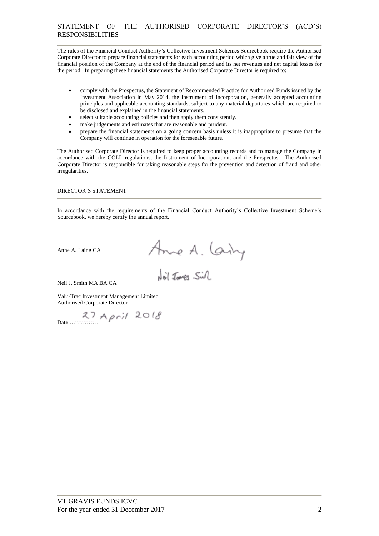The rules of the Financial Conduct Authority's Collective Investment Schemes Sourcebook require the Authorised Corporate Director to prepare financial statements for each accounting period which give a true and fair view of the financial position of the Company at the end of the financial period and its net revenues and net capital losses for the period. In preparing these financial statements the Authorised Corporate Director is required to:

- comply with the Prospectus, the Statement of Recommended Practice for Authorised Funds issued by the Investment Association in May 2014, the Instrument of Incorporation, generally accepted accounting principles and applicable accounting standards, subject to any material departures which are required to be disclosed and explained in the financial statements.
- select suitable accounting policies and then apply them consistently.
- make judgements and estimates that are reasonable and prudent.
- prepare the financial statements on a going concern basis unless it is inappropriate to presume that the Company will continue in operation for the foreseeable future.

The Authorised Corporate Director is required to keep proper accounting records and to manage the Company in accordance with the COLL regulations, the Instrument of Incorporation, and the Prospectus. The Authorised Corporate Director is responsible for taking reasonable steps for the prevention and detection of fraud and other irregularities.

### DIRECTOR'S STATEMENT

In accordance with the requirements of the Financial Conduct Authority's Collective Investment Scheme's Sourcebook, we hereby certify the annual report.

Anne A. Laing CA

Anne A. Crity<br>Noil Joures Sill

Neil J. Smith MA BA CA

Valu-Trac Investment Management Limited Authorised Corporate Director

 $27$  April 2018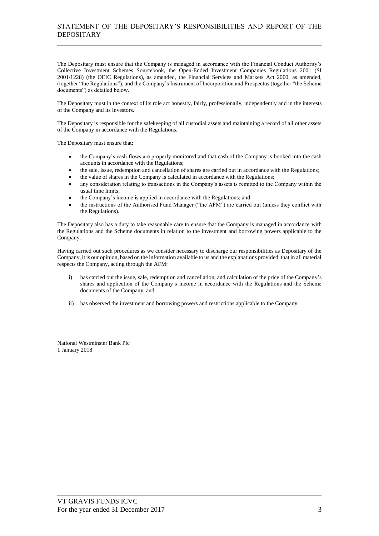### STATEMENT OF THE DEPOSITARY'S RESPONSIBILITIES AND REPORT OF THE **DEPOSITARY**

The Depositary must ensure that the Company is managed in accordance with the Financial Conduct Authority's Collective Investment Schemes Sourcebook, the Open-Ended Investment Companies Regulations 2001 (SI 2001/1228) (the OEIC Regulations), as amended, the Financial Services and Markets Act 2000, as amended, (together "the Regulations"), and the Company's Instrument of Incorporation and Prospectus (together "the Scheme documents") as detailed below.

The Depositary must in the context of its role act honestly, fairly, professionally, independently and in the interests of the Company and its investors.

The Depositary is responsible for the safekeeping of all custodial assets and maintaining a record of all other assets of the Company in accordance with the Regulations.

The Depositary must ensure that:

- the Company's cash flows are properly monitored and that cash of the Company is booked into the cash accounts in accordance with the Regulations;
- the sale, issue, redemption and cancellation of shares are carried out in accordance with the Regulations;
- the value of shares in the Company is calculated in accordance with the Regulations;
- any consideration relating to transactions in the Company's assets is remitted to the Company within the usual time limits;
- the Company's income is applied in accordance with the Regulations; and
- the instructions of the Authorised Fund Manager ("the AFM") are carried out (unless they conflict with the Regulations).

The Depositary also has a duty to take reasonable care to ensure that the Company is managed in accordance with the Regulations and the Scheme documents in relation to the investment and borrowing powers applicable to the Company.

Having carried out such procedures as we consider necessary to discharge our responsibilities as Depositary of the Company, it is our opinion, based on the information available to us and the explanations provided, that in all material respects the Company, acting through the AFM:

- i) has carried out the issue, sale, redemption and cancellation, and calculation of the price of the Company's shares and application of the Company's income in accordance with the Regulations and the Scheme documents of the Company, and
- ii) has observed the investment and borrowing powers and restrictions applicable to the Company.

National Westminster Bank Plc 1 January 2018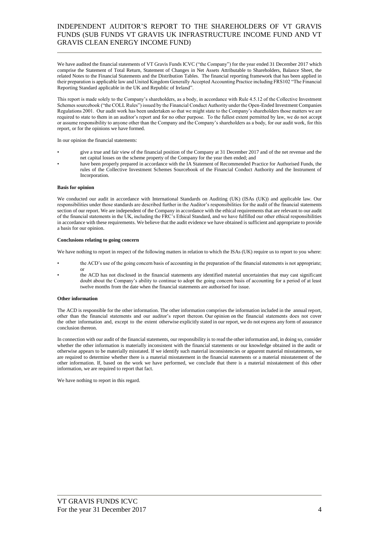### INDEPENDENT AUDITOR'S REPORT TO THE SHAREHOLDERS OF VT GRAVIS FUNDS (SUB FUNDS VT GRAVIS UK INFRASTRUCTURE INCOME FUND AND VT GRAVIS CLEAN ENERGY INCOME FUND)

We have audited the financial statements of VT Gravis Funds ICVC ("the Company") for the year ended 31 December 2017 which comprise the Statement of Total Return, Statement of Changes in Net Assets Attributable to Shareholders, Balance Sheet, the related Notes to the Financial Statements and the Distribution Tables. The financial reporting framework that has been applied in their preparation is applicable law and United Kingdom Generally Accepted Accounting Practice including FRS102 "The Financial Reporting Standard applicable in the UK and Republic of Ireland".

This report is made solely to the Company's shareholders, as a body, in accordance with Rule 4.5.12 of the Collective Investment Schemes sourcebook ("the COLL Rules") issued by the Financial Conduct Authority under the Open-Ended Investment Companies Regulations 2001. Our audit work has been undertaken so that we might state to the Company's shareholders those matters we are required to state to them in an auditor's report and for no other purpose. To the fullest extent permitted by law, we do not accept or assume responsibility to anyone other than the Company and the Company's shareholders as a body, for our audit work, for this report, or for the opinions we have formed.

In our opinion the financial statements:

- give a true and fair view of the financial position of the Company at 31 December 2017 and of the net revenue and the net capital losses on the scheme property of the Company for the year then ended; and
- have been properly prepared in accordance with the IA Statement of Recommended Practice for Authorised Funds, the rules of the Collective Investment Schemes Sourcebook of the Financial Conduct Authority and the Instrument of Incorporation.

#### **Basis for opinion**

We conducted our audit in accordance with International Standards on Auditing (UK) (ISAs (UK)) and applicable law. Our responsibilities under those standards are described further in the Auditor's responsibilities for the audit of the financial statements section of our report. We are independent of the Company in accordance with the ethical requirements that are relevant to our audit of the financial statements in the UK, including the FRC's Ethical Standard, and we have fulfilled our other ethical responsibilities in accordance with these requirements. We believe that the audit evidence we have obtained is sufficient and appropriate to provide a basis for our opinion.

#### **Conclusions relating to going concern**

We have nothing to report in respect of the following matters in relation to which the ISAs (UK) require us to report to you where:

- the ACD's use of the going concern basis of accounting in the preparation of the financial statements is not appropriate; or
- the ACD has not disclosed in the financial statements any identified material uncertainties that may cast significant doubt about the Company's ability to continue to adopt the going concern basis of accounting for a period of at least twelve months from the date when the financial statements are authorised for issue.

#### **Other information**

The ACD is responsible for the other information. The other information comprises the information included in the annual report, other than the financial statements and our auditor's report thereon. Our opinion on the financial statements does not cover the other information and, except to the extent otherwise explicitly stated in our report, we do not express any form of assurance conclusion thereon.

In connection with our audit of the financial statements, our responsibility is to read the other information and, in doing so, consider whether the other information is materially inconsistent with the financial statements or our knowledge obtained in the audit or otherwise appears to be materially misstated. If we identify such material inconsistencies or apparent material misstatements, we are required to determine whether there is a material misstatement in the financial statements or a material misstatement of the other information. If, based on the work we have performed, we conclude that there is a material misstatement of this other information, we are required to report that fact.

We have nothing to report in this regard.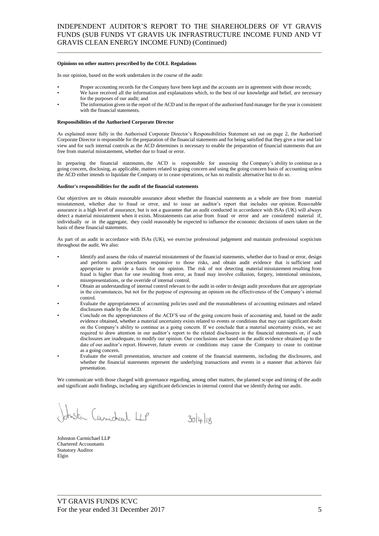#### **Opinions on other matters prescribed by the COLL Regulations**

In our opinion, based on the work undertaken in the course of the audit:

- Proper accounting records for the Company have been kept and the accounts are in agreement with those records;
- We have received all the information and explanations which, to the best of our knowledge and belief, are necessary for the purposes of our audit; and
- The information given in the report of the ACD and in the report of the authorised fund manager for the year is consistent with the financial statements.

#### **Responsibilities of the Authorised Corporate Director**

As explained more fully in the Authorised Corporate Director's Responsibilities Statement set out on page 2, the Authorised Corporate Director is responsible for the preparation of the financial statements and for being satisfied that they give a true and fair view and for such internal controls as the ACD determines is necessary to enable the preparation of financial statements that are free from material misstatement, whether due to fraud or error.

In preparing the financial statements, the ACD is responsible for assessing the Company's ability to continue as a going concern, disclosing, as applicable, matters related to going concern and using the going concern basis of accounting unless the ACD either intends to liquidate the Company or to cease operations, or has no realistic alternative but to do so.

#### **Auditor's responsibilities for the audit of the financial statements**

Our objectives are to obtain reasonable assurance about whether the financial statements as a whole are free from material misstatement, whether due to fraud or error, and to issue an auditor's report that includes our opinion. Reasonable assurance is a high level of assurance, but is not a guarantee that an audit conducted in accordance with ISAs (UK) will always detect a material misstatement when it exists. Misstatements can arise from fraud or error and are considered material if, individually or in the aggregate, they could reasonably be expected to influence the economic decisions of users taken on the basis of these financial statements.

As part of an audit in accordance with ISAs (UK), we exercise professional judgement and maintain professional scepticism throughout the audit. We also:

- Identify and assess the risks of material misstatement of the financial statements, whether due to fraud or error, design and perform audit procedures responsive to those risks, and obtain audit evidence that is sufficient and appropriate to provide a basis for our opinion. The risk of not detecting material misstatement resulting from fraud is higher than for one resulting from error, as fraud may involve collusion, forgery, intentional omissions, misrepresentations, or the override of internal control.
- Obtain an understanding of internal control relevant to the audit in order to design audit procedures that are appropriate in the circumstances, but not for the purpose of expressing an opinion on the effectiveness of the Company's internal control.
- Evaluate the appropriateness of accounting policies used and the reasonableness of accounting estimates and related disclosures made by the ACD.
- Conclude on the appropriateness of the ACD'S use of the going concern basis of accounting and, based on the audit evidence obtained, whether a material uncertainty exists related to events or conditions that may cast significant doubt on the Company's ability to continue as a going concern. If we conclude that a material uncertainty exists, we are required to draw attention in our auditor's report to the related disclosures in the financial statements or, if such disclosures are inadequate, to modify our opinion. Our conclusions are based on the audit evidence obtained up to the date of our auditor's report. However, future events or conditions may cause the Company to cease to continue as a going concern.
- Evaluate the overall presentation, structure and content of the financial statements, including the disclosures, and whether the financial statements represent the underlying transactions and events in a manner that achieves fair presentation.

We communicate with those charged with governance regarding, among other matters, the planned scope and timing of the audit and significant audit findings, including any significant deficiencies in internal control that we identify during our audit.

Sta Canichael LLP

 $30|4|18$ 

Johnston Carmichael LLP Chartered Accountants Statutory Auditor Elgin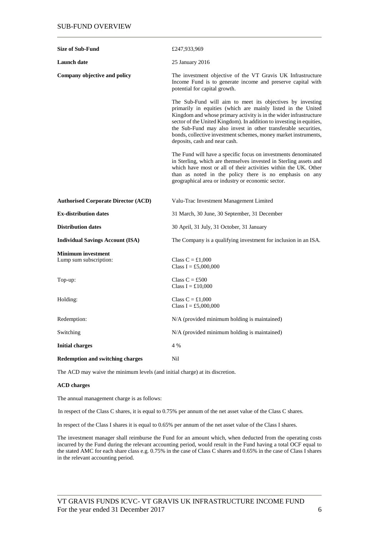| <b>Size of Sub-Fund</b>                    | £247,933,969                                                                                                                                                                                                                                                                                                                                                                                                                                 |
|--------------------------------------------|----------------------------------------------------------------------------------------------------------------------------------------------------------------------------------------------------------------------------------------------------------------------------------------------------------------------------------------------------------------------------------------------------------------------------------------------|
|                                            |                                                                                                                                                                                                                                                                                                                                                                                                                                              |
| <b>Launch</b> date                         | 25 January 2016                                                                                                                                                                                                                                                                                                                                                                                                                              |
| Company objective and policy               | The investment objective of the VT Gravis UK Infrastructure<br>Income Fund is to generate income and preserve capital with<br>potential for capital growth.                                                                                                                                                                                                                                                                                  |
|                                            | The Sub-Fund will aim to meet its objectives by investing<br>primarily in equities (which are mainly listed in the United<br>Kingdom and whose primary activity is in the wider infrastructure<br>sector of the United Kingdom). In addition to investing in equities,<br>the Sub-Fund may also invest in other transferable securities,<br>bonds, collective investment schemes, money market instruments,<br>deposits, cash and near cash. |
|                                            | The Fund will have a specific focus on investments denominated<br>in Sterling, which are themselves invested in Sterling assets and<br>which have most or all of their activities within the UK. Other<br>than as noted in the policy there is no emphasis on any<br>geographical area or industry or economic sector.                                                                                                                       |
| <b>Authorised Corporate Director (ACD)</b> | Valu-Trac Investment Management Limited                                                                                                                                                                                                                                                                                                                                                                                                      |
| <b>Ex-distribution dates</b>               | 31 March, 30 June, 30 September, 31 December                                                                                                                                                                                                                                                                                                                                                                                                 |
| <b>Distribution dates</b>                  | 30 April, 31 July, 31 October, 31 January                                                                                                                                                                                                                                                                                                                                                                                                    |
| <b>Individual Savings Account (ISA)</b>    | The Company is a qualifying investment for inclusion in an ISA.                                                                                                                                                                                                                                                                                                                                                                              |
| <b>Minimum investment</b>                  |                                                                                                                                                                                                                                                                                                                                                                                                                                              |
| Lump sum subscription:                     | Class $C = £1,000$<br>Class $I = £5,000,000$                                                                                                                                                                                                                                                                                                                                                                                                 |
| Top-up:                                    | Class $C = £500$<br>Class $I = £10,000$                                                                                                                                                                                                                                                                                                                                                                                                      |
| Holding:                                   | Class $C = £1,000$<br>Class I = £5,000,000                                                                                                                                                                                                                                                                                                                                                                                                   |
| Redemption:                                | N/A (provided minimum holding is maintained)                                                                                                                                                                                                                                                                                                                                                                                                 |
| Switching                                  | N/A (provided minimum holding is maintained)                                                                                                                                                                                                                                                                                                                                                                                                 |
| <b>Initial charges</b>                     | 4 %                                                                                                                                                                                                                                                                                                                                                                                                                                          |
| <b>Redemption and switching charges</b>    | Nil                                                                                                                                                                                                                                                                                                                                                                                                                                          |

The ACD may waive the minimum levels (and initial charge) at its discretion.

### **ACD charges**

The annual management charge is as follows:

In respect of the Class C shares, it is equal to 0.75% per annum of the net asset value of the Class C shares.

In respect of the Class I shares it is equal to 0.65% per annum of the net asset value of the Class I shares.

The investment manager shall reimburse the Fund for an amount which, when deducted from the operating costs incurred by the Fund during the relevant accounting period, would result in the Fund having a total OCF equal to the stated AMC for each share class e.g. 0.75% in the case of Class C shares and 0.65% in the case of Class I shares in the relevant accounting period.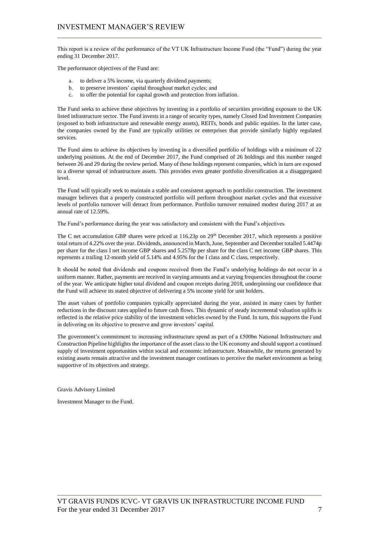This report is a review of the performance of the VT UK Infrastructure Income Fund (the "Fund") during the year ending 31 December 2017.

The performance objectives of the Fund are:

- to deliver a 5% income, via quarterly dividend payments;
- b. to preserve investors' capital throughout market cycles; and
- c. to offer the potential for capital growth and protection from inflation.

The Fund seeks to achieve these objectives by investing in a portfolio of securities providing exposure to the UK listed infrastructure sector. The Fund invests in a range of security types, namely Closed End Investment Companies (exposed to both infrastructure and renewable energy assets), REITs, bonds and public equities. In the latter case, the companies owned by the Fund are typically utilities or enterprises that provide similarly highly regulated services.

The Fund aims to achieve its objectives by investing in a diversified portfolio of holdings with a minimum of 22 underlying positions. At the end of December 2017, the Fund comprised of 26 holdings and this number ranged between 26 and 29 during the review period. Many of these holdings represent companies, which in turn are exposed to a diverse spread of infrastructure assets. This provides even greater portfolio diversification at a disaggregated level.

The Fund will typically seek to maintain a stable and consistent approach to portfolio construction. The investment manager believes that a properly constructed portfolio will perform throughout market cycles and that excessive levels of portfolio turnover will detract from performance. Portfolio turnover remained modest during 2017 at an annual rate of 12.59%.

The Fund's performance during the year was satisfactory and consistent with the Fund's objectives.

The C net accumulation GBP shares were priced at 116.23p on 29th December 2017, which represents a positive total return of 4.22% over the year. Dividends, announced in March, June, September and December totalled 5.4474p per share for the class I net income GBP shares and 5.2578p per share for the class C net income GBP shares. This represents a trailing 12-month yield of 5.14% and 4.95% for the I class and C class, respectively.

It should be noted that dividends and coupons received from the Fund's underlying holdings do not occur in a uniform manner. Rather, payments are received in varying amounts and at varying frequencies throughout the course of the year. We anticipate higher total dividend and coupon receipts during 2018, underpinning our confidence that the Fund will achieve its stated objective of delivering a 5% income yield for unit holders.

The asset values of portfolio companies typically appreciated during the year, assisted in many cases by further reductions in the discount rates applied to future cash flows. This dynamic of steady incremental valuation uplifts is reflected in the relative price stability of the investment vehicles owned by the Fund. In turn, this supports the Fund in delivering on its objective to preserve and grow investors' capital.

The government's commitment to increasing infrastructure spend as part of a £500bn National Infrastructure and Construction Pipeline highlights the importance of the asset class to the UK economy and should support a continued supply of investment opportunities within social and economic infrastructure. Meanwhile, the returns generated by existing assets remain attractive and the investment manager continues to perceive the market environment as being supportive of its objectives and strategy.

Gravis Advisory Limited

Investment Manager to the Fund.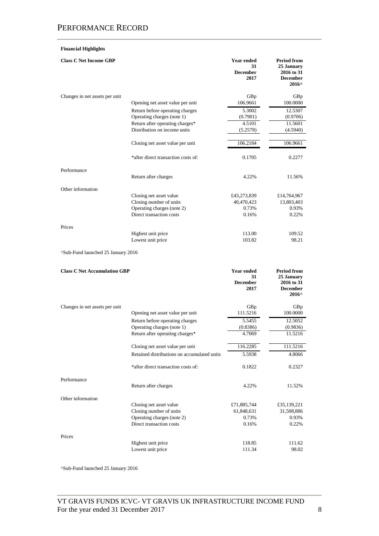### **Financial Highlights**

| <b>Class C Net Income GBP</b>       |                                     | <b>Year ended</b><br>31<br><b>December</b><br>2017 | <b>Period from</b><br>25 January<br>2016 to 31<br><b>December</b><br>$2016^{\circ}$ |
|-------------------------------------|-------------------------------------|----------------------------------------------------|-------------------------------------------------------------------------------------|
| Changes in net assets per unit      |                                     | GBp                                                | GBp                                                                                 |
|                                     | Opening net asset value per unit    | 106.9661                                           | 100.0000                                                                            |
|                                     | Return before operating charges     | 5.3002                                             | 12.5307                                                                             |
|                                     | Operating charges (note 1)          | (0.7901)                                           | (0.9706)                                                                            |
|                                     | Return after operating charges*     | 4.5101                                             | 11.5601                                                                             |
|                                     | Distribution on income units        | (5.2578)                                           | (4.5940)                                                                            |
|                                     | Closing net asset value per unit    | 106.2184                                           | 106.9661                                                                            |
|                                     | *after direct transaction costs of: | 0.1705                                             | 0.2277                                                                              |
| Performance                         | Return after charges                | 4.22%                                              | 11.56%                                                                              |
| Other information                   |                                     |                                                    |                                                                                     |
|                                     | Closing net asset value             | £43,273,839                                        | £14,764,967                                                                         |
|                                     | Closing number of units             | 40,470,423                                         | 13,803,403                                                                          |
|                                     | Operating charges (note 2)          | 0.73%                                              | 0.93%                                                                               |
|                                     | Direct transaction costs            | 0.16%                                              | 0.22%                                                                               |
| Prices                              |                                     |                                                    |                                                                                     |
|                                     | Highest unit price                  | 113.00                                             | 109.52                                                                              |
|                                     | Lowest unit price                   | 103.82                                             | 98.21                                                                               |
| ^Sub-Fund launched 25 January 2016  |                                     |                                                    |                                                                                     |
| <b>Class C Net Accumulation GBP</b> |                                     | <b>Year ended</b><br>31<br><b>December</b><br>2017 | <b>Period from</b><br>25 January<br>2016 to 31<br><b>December</b><br>2016^          |
| Changes in net assets per unit      |                                     | GBp                                                | GBp                                                                                 |
|                                     | Opening net asset value per unit    | 111.5216                                           | 100.0000                                                                            |
|                                     | Return before operating charges     | 5.5455                                             | 12.5052                                                                             |
|                                     | Operating charges (note 1)          | (0.8386)                                           | (0.9836)                                                                            |

Return after operating charges\* 4.7069 11.5216 Closing net asset value per unit 116.2285 111.5216 Retained distributions on accumulated units 5.5938 4.8066 \*after direct transaction costs of: 0.1822 0.2327 Performance Return after charges 4.22% 11.52% Other information Closing net asset value <br>  $\begin{array}{r} \text{£71,885,744} \\ \text{£61,848,631} \end{array}$   $\begin{array}{r} \text{£35,139,221} \\ \text{31,508,886} \end{array}$ Closing number of units Operating charges (note 2) 0.73% 0.93% 0.93% 0.93% 0.93% 0.93% 0.93% 0.93% 0.93% 0.93% 0.93% 0.93% 0.93% 0.93% 0.93% 0.93% 0.93% 0.93% 0.93% 0.93% 0.93% 0.93% 0.93% 0.93% 0.93% 0.93% 0.93% 0.93% 0.93% 0.93% 0.93% 0.93% 0.9 Direct transaction costs 0.16% Prices Highest unit price 118.85 111.62<br>
Lowest unit price 111.34 98.02 Lowest unit price 111.34

^Sub-Fund launched 25 January 2016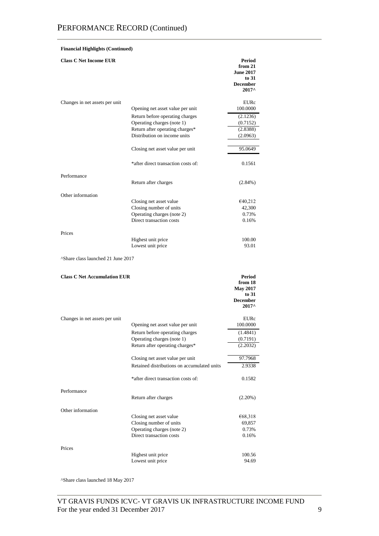| <b>Financial Highlights (Continued)</b> |                                     |                                                                                              |  |
|-----------------------------------------|-------------------------------------|----------------------------------------------------------------------------------------------|--|
| <b>Class C Net Income EUR</b>           |                                     | <b>Period</b><br>from 21<br><b>June 2017</b><br>to $31$<br><b>December</b><br>$2017^{\circ}$ |  |
| Changes in net assets per unit          |                                     | <b>EURc</b>                                                                                  |  |
|                                         | Opening net asset value per unit    | 100.0000                                                                                     |  |
|                                         | Return before operating charges     | (2.1236)                                                                                     |  |
|                                         | Operating charges (note 1)          | (0.7152)                                                                                     |  |
|                                         | Return after operating charges*     | (2.8388)                                                                                     |  |
|                                         | Distribution on income units        | (2.0963)                                                                                     |  |
|                                         | Closing net asset value per unit    | 95.0649                                                                                      |  |
|                                         | *after direct transaction costs of: | 0.1561                                                                                       |  |
| Performance                             | Return after charges                | $(2.84\%)$                                                                                   |  |
| Other information                       |                                     |                                                                                              |  |
|                                         | Closing net asset value             | €40,212                                                                                      |  |
|                                         | Closing number of units             | 42,300                                                                                       |  |
|                                         | Operating charges (note 2)          | 0.73%                                                                                        |  |
|                                         | Direct transaction costs            | 0.16%                                                                                        |  |
| Prices                                  |                                     |                                                                                              |  |
|                                         | Highest unit price                  | 100.00                                                                                       |  |
|                                         | Lowest unit price                   | 93.01                                                                                        |  |

^Share class launched 21 June 2017

| <b>Class C Net Accumulation EUR</b> |                                             | <b>Period</b><br>from 18<br><b>May 2017</b><br>to $31$<br><b>December</b><br>$2017^{\circ}$ |
|-------------------------------------|---------------------------------------------|---------------------------------------------------------------------------------------------|
| Changes in net assets per unit      |                                             | <b>EURc</b>                                                                                 |
|                                     | Opening net asset value per unit            | 100,0000                                                                                    |
|                                     | Return before operating charges             | (1.4841)                                                                                    |
|                                     | Operating charges (note 1)                  | (0.7191)                                                                                    |
|                                     | Return after operating charges*             | (2.2032)                                                                                    |
|                                     | Closing net asset value per unit            | 97.7968                                                                                     |
|                                     | Retained distributions on accumulated units | 2.9338                                                                                      |
|                                     | *after direct transaction costs of:         | 0.1582                                                                                      |
| Performance                         | Return after charges                        | $(2.20\%)$                                                                                  |
| Other information                   |                                             |                                                                                             |
|                                     | Closing net asset value                     | €68,318                                                                                     |
|                                     | Closing number of units                     | 69,857                                                                                      |
|                                     | Operating charges (note 2)                  | 0.73%                                                                                       |
|                                     | Direct transaction costs                    | 0.16%                                                                                       |
| Prices                              |                                             |                                                                                             |
|                                     | Highest unit price                          | 100.56                                                                                      |
|                                     | Lowest unit price                           | 94.69                                                                                       |

^Share class launched 18 May 2017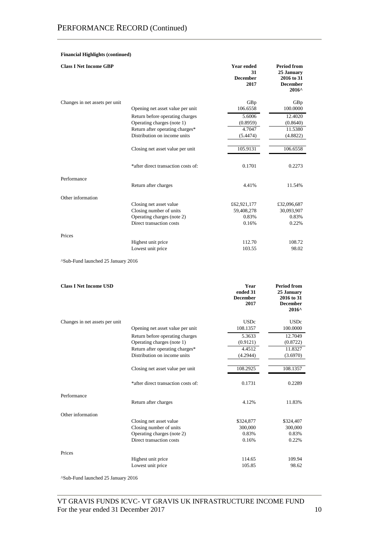### **Financial Highlights (continued)**

| <b>Class I Net Income GBP</b>      |                                     | <b>Year ended</b><br>31<br><b>December</b><br>2017 | <b>Period from</b><br>25 January<br>2016 to 31<br><b>December</b><br>2016^ |
|------------------------------------|-------------------------------------|----------------------------------------------------|----------------------------------------------------------------------------|
| Changes in net assets per unit     |                                     | GBp                                                | GBp                                                                        |
|                                    | Opening net asset value per unit    | 106.6558                                           | 100.0000                                                                   |
|                                    | Return before operating charges     | 5.6006                                             | 12.4020                                                                    |
|                                    | Operating charges (note 1)          | (0.8959)                                           | (0.8640)                                                                   |
|                                    | Return after operating charges*     | 4.7047                                             | 11.5380                                                                    |
|                                    | Distribution on income units        | (5.4474)                                           | (4.8822)                                                                   |
|                                    | Closing net asset value per unit    | 105.9131                                           | 106.6558                                                                   |
|                                    | *after direct transaction costs of: | 0.1701                                             | 0.2273                                                                     |
| Performance                        |                                     |                                                    |                                                                            |
|                                    | Return after charges                | 4.41%                                              | 11.54%                                                                     |
| Other information                  |                                     |                                                    |                                                                            |
|                                    | Closing net asset value             | £62,921,177                                        | £32,096,687                                                                |
|                                    | Closing number of units             | 59,408,278                                         | 30,093,907                                                                 |
|                                    | Operating charges (note 2)          | 0.83%                                              | 0.83%                                                                      |
|                                    | Direct transaction costs            | 0.16%                                              | 0.22%                                                                      |
| Prices                             |                                     |                                                    |                                                                            |
|                                    | Highest unit price                  | 112.70                                             | 108.72                                                                     |
|                                    | Lowest unit price                   | 103.55                                             | 98.02                                                                      |
| ^Sub-Fund launched 25 January 2016 |                                     |                                                    |                                                                            |
| <b>Class I Net Income USD</b>      |                                     | Year<br>ended 31                                   | <b>Period from</b><br>25 January                                           |

|                                |                                     | <b>December</b><br>2017 | 2016 to 31<br><b>December</b><br>2016^ |
|--------------------------------|-------------------------------------|-------------------------|----------------------------------------|
| Changes in net assets per unit |                                     | <b>USDc</b>             | <b>USDc</b>                            |
|                                | Opening net asset value per unit    | 108.1357                | 100.0000                               |
|                                | Return before operating charges     | 5.3633                  | 12.7049                                |
|                                | Operating charges (note 1)          | (0.9121)                | (0.8722)                               |
|                                | Return after operating charges*     | 4.4512                  | 11.8327                                |
|                                | Distribution on income units        | (4.2944)                | (3.6970)                               |
|                                | Closing net asset value per unit    | 108.2925                | 108.1357                               |
|                                | *after direct transaction costs of: | 0.1731                  | 0.2289                                 |
| Performance                    | Return after charges                | 4.12%                   | 11.83%                                 |
| Other information              |                                     |                         |                                        |
|                                | Closing net asset value             | \$324,877               | \$324,407                              |
|                                | Closing number of units             | 300,000                 | 300,000                                |
|                                | Operating charges (note 2)          | 0.83%                   | 0.83%                                  |
|                                | Direct transaction costs            | 0.16%                   | 0.22%                                  |
| Prices                         |                                     |                         |                                        |
|                                | Highest unit price                  | 114.65                  | 109.94                                 |
|                                | Lowest unit price                   | 105.85                  | 98.62                                  |

^Sub-Fund launched 25 January 2016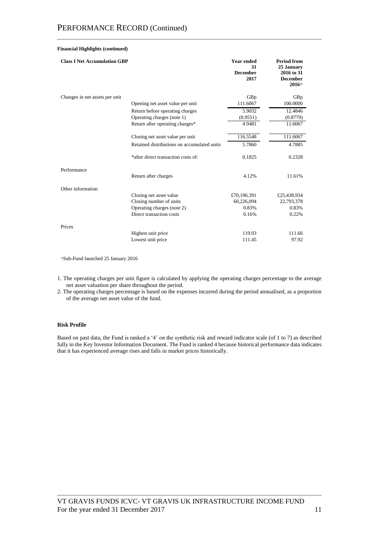| <b>Financial Highlights (continued)</b> |                                             |                                                    |                                                                                     |
|-----------------------------------------|---------------------------------------------|----------------------------------------------------|-------------------------------------------------------------------------------------|
| <b>Class I Net Accumulation GBP</b>     |                                             | <b>Year ended</b><br>31<br><b>December</b><br>2017 | <b>Period from</b><br>25 January<br>2016 to 31<br><b>December</b><br>$2016^{\circ}$ |
| Changes in net assets per unit          |                                             | GBp                                                | GBp                                                                                 |
|                                         | Opening net asset value per unit            | 111.6067                                           | 100.0000                                                                            |
|                                         | Return before operating charges             | 5.9032                                             | 12.4846                                                                             |
|                                         | Operating charges (note 1)                  | (0.9551)                                           | (0.8779)                                                                            |
|                                         | Return after operating charges*             | 4.9481                                             | 11.6067                                                                             |
|                                         | Closing net asset value per unit            | 116.5548                                           | 111.6067                                                                            |
|                                         | Retained distributions on accumulated units | 5.7860                                             | 4.7885                                                                              |
|                                         | *after direct transaction costs of:         | 0.1825                                             | 0.2328                                                                              |
| Performance                             | Return after charges                        | 4.12%                                              | 11.61%                                                                              |
| Other information                       |                                             |                                                    |                                                                                     |
|                                         | Closing net asset value                     | £70,196,391                                        | £25,438,934                                                                         |
|                                         | Closing number of units                     | 60,226,094                                         | 22,793,378                                                                          |
|                                         | Operating charges (note 2)                  | 0.83%                                              | 0.83%                                                                               |
|                                         | Direct transaction costs                    | 0.16%                                              | 0.22%                                                                               |
| Prices                                  |                                             |                                                    |                                                                                     |
|                                         | Highest unit price                          | 119.03                                             | 111.66                                                                              |
|                                         | Lowest unit price                           | 111.45                                             | 97.92                                                                               |

^Sub-Fund launched 25 January 2016

1. The operating charges per unit figure is calculated by applying the operating charges percentage to the average net asset valuation per share throughout the period.

2. The operating charges percentage is based on the expenses incurred during the period annualised, as a proportion of the average net asset value of the fund.

### **Risk Profile**

Based on past data, the Fund is ranked a '4' on the synthetic risk and reward indicator scale (of 1 to 7) as described fully in the Key Investor Information Document. The Fund is ranked 4 because historical performance data indicates that it has experienced average rises and falls in market prices historically.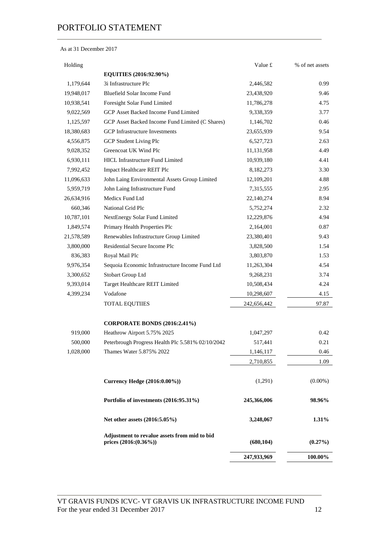As at 31 December 2017

| Holding    |                                                                       | Value £     | % of net assets |
|------------|-----------------------------------------------------------------------|-------------|-----------------|
|            | EQUITIES (2016:92.90%)                                                |             |                 |
| 1,179,644  | 3i Infrastructure Plc                                                 | 2,446,582   | 0.99            |
| 19,948,017 | Bluefield Solar Income Fund                                           | 23,438,920  | 9.46            |
| 10,938,541 | Foresight Solar Fund Limited                                          | 11,786,278  | 4.75            |
| 9,022,569  | GCP Asset Backed Income Fund Limited                                  | 9,338,359   | 3.77            |
| 1,125,597  | GCP Asset Backed Income Fund Limited (C Shares)                       | 1,146,702   | 0.46            |
| 18,380,683 | <b>GCP</b> Infrastructure Investments                                 | 23,655,939  | 9.54            |
| 4,556,875  | <b>GCP Student Living Plc</b>                                         | 6,527,723   | 2.63            |
| 9,028,352  | Greencoat UK Wind Plc                                                 | 11,131,958  | 4.49            |
| 6,930,111  | <b>HICL Infrastructure Fund Limited</b>                               | 10,939,180  | 4.41            |
| 7,992,452  | Impact Healthcare REIT Plc                                            | 8,182,273   | 3.30            |
| 11,096,633 | John Laing Environmental Assets Group Limited                         | 12,109,201  | 4.88            |
| 5,959,719  | John Laing Infrastructure Fund                                        | 7,315,555   | 2.95            |
| 26,634,916 | Medicx Fund Ltd                                                       | 22,140,274  | 8.94            |
| 660,346    | National Grid Plc                                                     | 5,752,274   | 2.32            |
| 10,787,101 | NextEnergy Solar Fund Limited                                         | 12,229,876  | 4.94            |
| 1,849,574  | Primary Health Properties Plc                                         | 2,164,001   | 0.87            |
| 21,578,589 | Renewables Infrastructure Group Limited                               | 23,380,401  | 9.43            |
| 3,800,000  | Residential Secure Income Plc                                         | 3,828,500   | 1.54            |
| 836,383    | Royal Mail Plc                                                        | 3,803,870   | 1.53            |
| 9,976,354  | Sequoia Economic Infrastructure Income Fund Ltd                       | 11,263,304  | 4.54            |
| 3,300,652  | Stobart Group Ltd                                                     | 9,268,231   | 3.74            |
| 9,393,014  | Target Healthcare REIT Limited                                        | 10,508,434  | 4.24            |
| 4,399,234  | Vodafone                                                              | 10,298,607  | 4.15            |
|            | <b>TOTAL EQUTIIES</b>                                                 | 242,656,442 | 97.87           |
|            | <b>CORPORATE BONDS (2016:2.41%)</b>                                   |             |                 |
| 919,000    | Heathrow Airport 5.75% 2025                                           | 1,047,297   | 0.42            |
| 500,000    | Peterbrough Progress Health Plc 5.581% 02/10/2042                     | 517,441     | 0.21            |
| 1,028,000  | Thames Water 5.875% 2022                                              | 1,146,117   | 0.46            |
|            |                                                                       | 2,710,855   | 1.09            |
|            | Currency Hedge (2016:0.00%))                                          | (1,291)     | $(0.00\%)$      |
|            | Portfolio of investments (2016:95.31%)                                | 245,366,006 | 98.96%          |
|            | Net other assets (2016:5.05%)                                         | 3,248,067   | 1.31%           |
|            | Adjustment to revalue assets from mid to bid<br>prices (2016:(0.36%)) | (680, 104)  | $(0.27\%)$      |
|            |                                                                       | 247,933,969 | 100.00%         |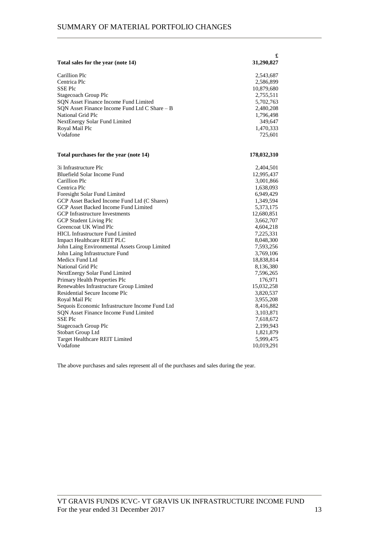|                                                 | £           |
|-------------------------------------------------|-------------|
| Total sales for the year (note 14)              | 31,290,827  |
| Carillion Plc                                   | 2,543,687   |
| Centrica Plc                                    | 2,586,899   |
| SSE Plc                                         | 10,879,680  |
| Stagecoach Group Plc                            | 2,755,511   |
| SQN Asset Finance Income Fund Limited           | 5,702,763   |
| SQN Asset Finance Income Fund Ltd C Share - B   | 2,480,208   |
| National Grid Plc                               | 1,796,498   |
| NextEnergy Solar Fund Limited                   | 349,647     |
| Royal Mail Plc                                  | 1,470,333   |
| Vodafone                                        | 725,601     |
| Total purchases for the year (note 14)          | 178,032,310 |
| 3i Infrastructure Plc                           | 2,404,501   |
| <b>Bluefield Solar Income Fund</b>              | 12,995,437  |
| Carillion Plc                                   | 3,001,866   |
| Centrica Plc                                    | 1,638,093   |
| Foresight Solar Fund Limited                    | 6,949,429   |
| GCP Asset Backed Income Fund Ltd (C Shares)     | 1,349,594   |
| GCP Asset Backed Income Fund Limited            | 5,373,175   |
| <b>GCP</b> Infrastructure Investments           | 12,680,851  |
| <b>GCP Student Living Plc</b>                   | 3,662,707   |
| Greencoat UK Wind Plc                           | 4,604,218   |
| HICL Infrastructure Fund Limited                | 7,225,331   |
| <b>Impact Healthcare REIT PLC</b>               | 8,048,300   |
| John Laing Environmental Assets Group Limited   | 7,593,256   |
| John Laing Infrastructure Fund                  | 3,769,106   |
| Medicx Fund Ltd                                 | 18,838,814  |
| National Grid Plc                               | 8,136,380   |
| NextEnergy Solar Fund Limited                   | 7,596,265   |
| Primary Health Properties Plc                   | 176,971     |
| Renewables Infrastructure Group Limited         | 15,032,258  |
| Residential Secure Income Plc                   | 3,820,537   |
| Royal Mail Plc                                  | 3,955,208   |
| Sequois Economic Infrastructure Income Fund Ltd | 8,416,882   |
| SQN Asset Finance Income Fund Limited           | 3,103,871   |
| <b>SSE Plc</b>                                  | 7,618,672   |
| Stagecoach Group Plc                            | 2,199,943   |
| Stobart Group Ltd                               | 1,821,879   |
| <b>Target Healthcare REIT Limited</b>           | 5,999,475   |
| Vodafone                                        | 10,019,291  |

The above purchases and sales represent all of the purchases and sales during the year.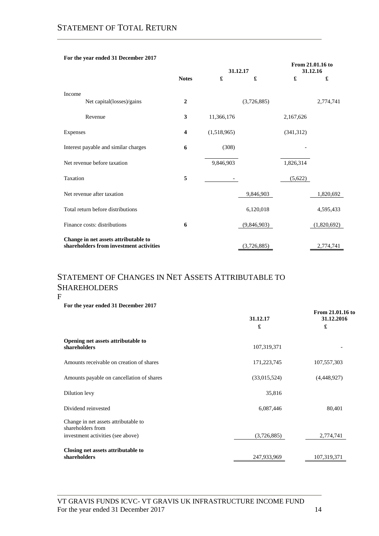| For the year ended 31 December 2017 |  |  |  |
|-------------------------------------|--|--|--|
|-------------------------------------|--|--|--|

| 1 of the year ended of December .                                               |                |             | 31.12.17    | From 21.01.16 to<br>31.12.16 |             |
|---------------------------------------------------------------------------------|----------------|-------------|-------------|------------------------------|-------------|
|                                                                                 | <b>Notes</b>   | £           | £           | £                            | £           |
| Income                                                                          |                |             |             |                              |             |
| Net capital(losses)/gains                                                       | $\overline{2}$ |             | (3,726,885) |                              | 2,774,741   |
| Revenue                                                                         | 3              | 11,366,176  |             | 2,167,626                    |             |
| Expenses                                                                        | 4              | (1,518,965) |             | (341,312)                    |             |
| Interest payable and similar charges                                            | 6              | (308)       |             |                              |             |
| Net revenue before taxation                                                     |                | 9,846,903   |             | 1,826,314                    |             |
| Taxation                                                                        | 5              |             |             | (5,622)                      |             |
| Net revenue after taxation                                                      |                |             | 9,846,903   |                              | 1,820,692   |
| Total return before distributions                                               |                |             | 6,120,018   |                              | 4,595,433   |
| Finance costs: distributions                                                    | 6              |             | (9,846,903) |                              | (1,820,692) |
| Change in net assets attributable to<br>shareholders from investment activities |                |             | (3,726,885) |                              | 2,774,741   |

## STATEMENT OF CHANGES IN NET ASSETS ATTRIBUTABLE TO **SHAREHOLDERS**

F

**For the year ended 31 December 2017**

|                                                                                                | 31.12.17<br>£ | From 21.01.16 to<br>31.12.2016<br>£ |
|------------------------------------------------------------------------------------------------|---------------|-------------------------------------|
| Opening net assets attributable to<br>shareholders                                             | 107,319,371   |                                     |
| Amounts receivable on creation of shares                                                       | 171,223,745   | 107,557,303                         |
| Amounts payable on cancellation of shares                                                      | (33,015,524)  | (4,448,927)                         |
| Dilution levy                                                                                  | 35,816        |                                     |
| Dividend reinvested                                                                            | 6,087,446     | 80,401                              |
| Change in net assets attributable to<br>shareholders from<br>investment activities (see above) | (3,726,885)   | 2,774,741                           |
| Closing net assets attributable to<br>shareholders                                             | 247,933,969   | 107,319,371                         |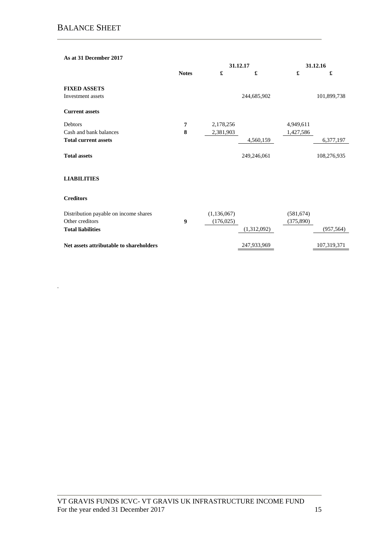### **As at 31 December 2017**

.

|              | 31.12.17      |             | 31.12.16   |             |
|--------------|---------------|-------------|------------|-------------|
| <b>Notes</b> | £             | £           | £          | £           |
|              |               |             |            |             |
|              |               | 244,685,902 |            | 101,899,738 |
|              |               |             |            |             |
| 7            | 2,178,256     |             | 4,949,611  |             |
| 8            | 2,381,903     |             | 1,427,586  |             |
|              |               | 4,560,159   |            | 6,377,197   |
|              |               | 249,246,061 |            | 108,276,935 |
|              |               |             |            |             |
|              |               |             |            |             |
|              | (1, 136, 067) |             | (581, 674) |             |
| 9            | (176, 025)    |             | (375,890)  |             |
|              |               | (1,312,092) |            | (957, 564)  |
|              |               | 247,933,969 |            | 107,319,371 |
|              |               |             |            |             |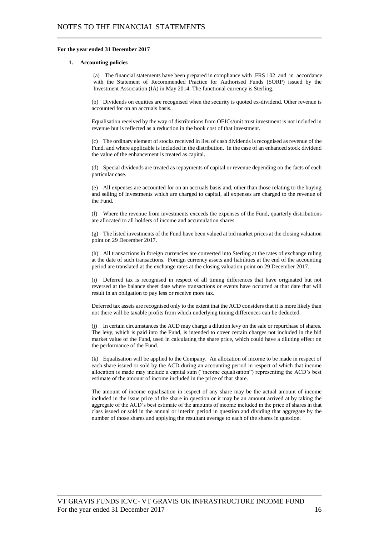#### **For the year ended 31 December 2017**

### **1. Accounting policies**

(a) The financial statements have been prepared in compliance with FRS 102 and in accordance with the Statement of Recommended Practice for Authorised Funds (SORP) issued by the Investment Association (IA) in May 2014. The functional currency is Sterling.

(b) Dividends on equities are recognised when the security is quoted ex-dividend. Other revenue is accounted for on an accruals basis.

Equalisation received by the way of distributions from OEICs/unit trust investment is not included in revenue but is reflected as a reduction in the book cost of that investment.

(c) The ordinary element of stocks received in lieu of cash dividends is recognised as revenue of the Fund, and where applicable is included in the distribution. In the case of an enhanced stock dividend the value of the enhancement is treated as capital.

(d) Special dividends are treated as repayments of capital or revenue depending on the facts of each particular case.

(e) All expenses are accounted for on an accruals basis and, other than those relating to the buying and selling of investments which are charged to capital, all expenses are charged to the revenue of the Fund.

(f) Where the revenue from investments exceeds the expenses of the Fund, quarterly distributions are allocated to all holders of income and accumulation shares.

(g) The listed investments of the Fund have been valued at bid market prices at the closing valuation point on 29 December 2017.

(h) All transactions in foreign currencies are converted into Sterling at the rates of exchange ruling at the date of such transactions. Foreign currency assets and liabilities at the end of the accounting period are translated at the exchange rates at the closing valuation point on 29 December 2017.

(i) Deferred tax is recognised in respect of all timing differences that have originated but not reversed at the balance sheet date where transactions or events have occurred at that date that will result in an obligation to pay less or receive more tax.

Deferred tax assets are recognised only to the extent that the ACD considers that it is more likely than not there will be taxable profits from which underlying timing differences can be deducted.

(j) In certain circumstances the ACD may charge a dilution levy on the sale or repurchase of shares. The levy, which is paid into the Fund, is intended to cover certain charges not included in the bid market value of the Fund, used in calculating the share price, which could have a diluting effect on the performance of the Fund.

(k) Equalisation will be applied to the Company. An allocation of income to be made in respect of each share issued or sold by the ACD during an accounting period in respect of which that income allocation is made may include a capital sum ("income equalisation") representing the ACD's best estimate of the amount of income included in the price of that share.

The amount of income equalisation in respect of any share may be the actual amount of income included in the issue price of the share in question or it may be an amount arrived at by taking the aggregate of the ACD's best estimate of the amounts of income included in the price of shares in that class issued or sold in the annual or interim period in question and dividing that aggregate by the number of those shares and applying the resultant average to each of the shares in question.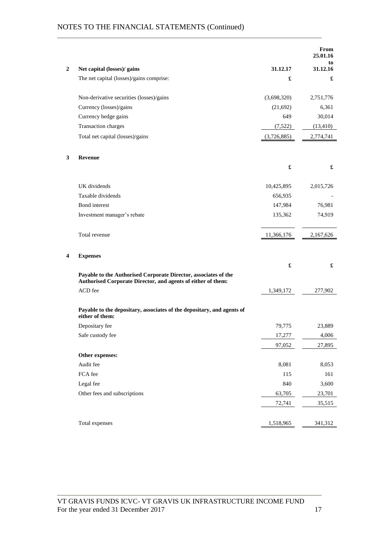|              |                                                                                                                                 |             | From<br>25.01.16 |
|--------------|---------------------------------------------------------------------------------------------------------------------------------|-------------|------------------|
| $\mathbf{2}$ | Net capital (losses)/ gains                                                                                                     | 31.12.17    | to<br>31.12.16   |
|              | The net capital (losses)/gains comprise:                                                                                        | £           | £                |
|              | Non-derivative securities (losses)/gains                                                                                        | (3,698,320) | 2,751,776        |
|              | Currency (losses)/gains                                                                                                         | (21,692)    | 6,361            |
|              | Currency hedge gains                                                                                                            | 649         | 30,014           |
|              | Transaction charges                                                                                                             | (7,522)     | (13, 410)        |
|              | Total net capital (losses)/gains                                                                                                | (3,726,885) | 2,774,741        |
| 3            | <b>Revenue</b>                                                                                                                  |             |                  |
|              |                                                                                                                                 | £           | £                |
|              | UK dividends                                                                                                                    | 10,425,895  | 2,015,726        |
|              | Taxable dividends                                                                                                               | 656,935     |                  |
|              | Bond interest                                                                                                                   | 147,984     | 76,981           |
|              | Investment manager's rebate                                                                                                     | 135,362     | 74,919           |
|              | Total revenue                                                                                                                   | 11,366,176  | 2,167,626        |
| 4            | <b>Expenses</b>                                                                                                                 |             |                  |
|              |                                                                                                                                 | £           | £                |
|              | Payable to the Authorised Corporate Director, associates of the<br>Authorised Corporate Director, and agents of either of them: |             |                  |
|              | ACD fee                                                                                                                         | 1,349,172   | 277,902          |
|              | Payable to the depositary, associates of the depositary, and agents of<br>either of them:                                       |             |                  |
|              | Depositary fee                                                                                                                  | 79,775      | 23,889           |
|              | Safe custody fee                                                                                                                | 17,277      | 4,006            |
|              |                                                                                                                                 | 97,052      | 27,895           |
|              | Other expenses:                                                                                                                 |             |                  |
|              | Audit fee                                                                                                                       | 8,081       | 8,053            |
|              | FCA fee                                                                                                                         | 115         | 161              |
|              | Legal fee                                                                                                                       | 840         | 3,600            |
|              | Other fees and subscriptions                                                                                                    | 63,705      | 23,701           |
|              |                                                                                                                                 | 72,741      | 35,515           |
|              | Total expenses                                                                                                                  | 1,518,965   | 341,312          |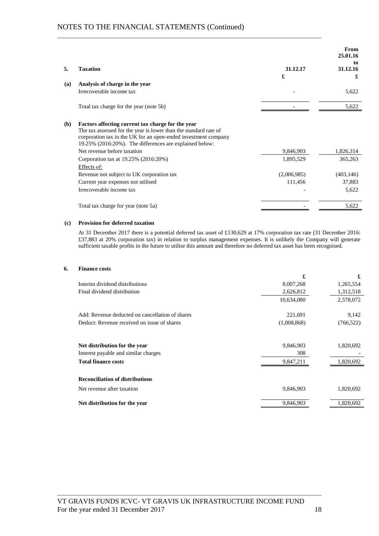|     |                                                                                                                                                                                                                                                    |             | <b>From</b><br>25.01.16<br>to |
|-----|----------------------------------------------------------------------------------------------------------------------------------------------------------------------------------------------------------------------------------------------------|-------------|-------------------------------|
| 5.  | <b>Taxation</b>                                                                                                                                                                                                                                    | 31.12.17    | 31.12.16                      |
|     |                                                                                                                                                                                                                                                    | £           | £                             |
| (a) | Analysis of charge in the year                                                                                                                                                                                                                     |             |                               |
|     | Irrecoverable income tax                                                                                                                                                                                                                           |             | 5,622                         |
|     | Total tax charge for the year (note 5b)                                                                                                                                                                                                            |             | 5,622                         |
| (b) | Factors affecting current tax charge for the year<br>The tax assessed for the year is lower than the standard rate of<br>corporation tax in the UK for an open-ended investment company<br>19.25% (2016:20%). The differences are explained below: |             |                               |
|     | Net revenue before taxation                                                                                                                                                                                                                        | 9,846,903   | 1,826,314                     |
|     | Corporation tax at 19.25% (2016:20%)                                                                                                                                                                                                               | 1,895,529   | 365,263                       |
|     | Effects of:                                                                                                                                                                                                                                        |             |                               |
|     | Revenue not subject to UK corporation tax                                                                                                                                                                                                          | (2,006,985) | (403, 146)                    |
|     | Current year expenses not utilised                                                                                                                                                                                                                 | 111,456     | 37,883                        |
|     | Irrecoverable income tax                                                                                                                                                                                                                           |             | 5,622                         |
|     | Total tax charge for year (note 5a)                                                                                                                                                                                                                |             | 5,622                         |

### **(c) Provision for deferred taxation**

At 31 December 2017 there is a potential deferred tax asset of £130,629 at 17% corporation tax rate (31 December 2016: £37,883 at 20% corporation tax) in relation to surplus management expenses. It is unlikely the Company will generate sufficient taxable profits in the future to utilise this amount and therefore no deferred tax asset has been recognised.

### **6. Finance costs**

|                                                 | £           | £          |
|-------------------------------------------------|-------------|------------|
| Interim dividend distributions                  | 8,007,268   | 1,265,554  |
| Final dividend distribution                     | 2,626,812   | 1,312,518  |
|                                                 | 10,634,080  | 2,578,072  |
| Add: Revenue deducted on cancellation of shares | 221,691     | 9,142      |
| Deduct: Revenue received on issue of shares     | (1,008,868) | (766, 522) |
|                                                 |             |            |
| Net distribution for the year                   | 9,846,903   | 1,820,692  |
| Interest payable and similar charges            | 308         |            |
| <b>Total finance costs</b>                      | 9,847,211   | 1,820,692  |
| <b>Reconciliation of distributions</b>          |             |            |
| Net revenue after taxation                      | 9,846,903   | 1,820,692  |
|                                                 |             |            |
| Net distribution for the year                   | 9,846,903   | 1,820,692  |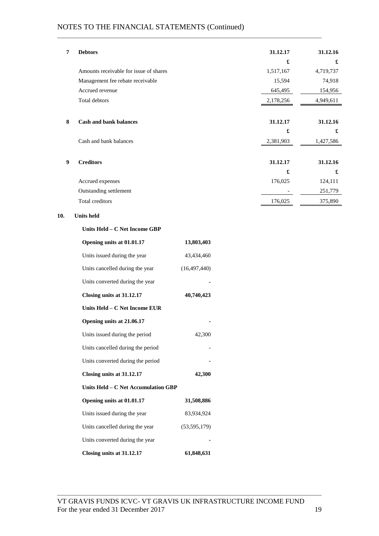| 7   | <b>Debtors</b>                            |                | 31.12.17  | 31.12.16             |
|-----|-------------------------------------------|----------------|-----------|----------------------|
|     |                                           |                | £         | £                    |
|     | Amounts receivable for issue of shares    |                | 1,517,167 | 4,719,737            |
|     | Management fee rebate receivable          |                | 15,594    | 74,918               |
|     | Accrued revenue                           |                | 645,495   | 154,956              |
|     | Total debtors                             |                | 2,178,256 | 4,949,611            |
| 8   | <b>Cash and bank balances</b>             |                | 31.12.17  | 31.12.16             |
|     |                                           |                | £         | £                    |
|     | Cash and bank balances                    |                | 2,381,903 | 1,427,586            |
| 9   | <b>Creditors</b>                          |                | 31.12.17  | 31.12.16             |
|     |                                           |                | £         | $\pmb{\mathfrak{L}}$ |
|     | Accrued expenses                          |                | 176,025   | 124,111              |
|     | Outstanding settlement<br>Total creditors |                | 176,025   | 251,779              |
|     |                                           |                |           | 375,890              |
| 10. | <b>Units held</b>                         |                |           |                      |
|     | Units Held - C Net Income GBP             |                |           |                      |
|     | Opening units at 01.01.17                 | 13,803,403     |           |                      |
|     | Units issued during the year              | 43,434,460     |           |                      |
|     | Units cancelled during the year           | (16, 497, 440) |           |                      |
|     | Units converted during the year           |                |           |                      |
|     | Closing units at 31.12.17                 | 40,740,423     |           |                      |
|     | Units Held - C Net Income EUR             |                |           |                      |
|     | Opening units at 21.06.17                 |                |           |                      |
|     | Units issued during the period            | 42,300         |           |                      |
|     | Units cancelled during the period         |                |           |                      |
|     | Units converted during the period         |                |           |                      |
|     | Closing units at 31.12.17                 | 42,300         |           |                      |
|     | Units Held - C Net Accumulation GBP       |                |           |                      |
|     | Opening units at 01.01.17                 | 31,508,886     |           |                      |
|     | Units issued during the year              | 83,934,924     |           |                      |
|     | Units cancelled during the year           | (53, 595, 179) |           |                      |
|     | Units converted during the year           |                |           |                      |
|     | Closing units at 31.12.17                 | 61,848,631     |           |                      |
|     |                                           |                |           |                      |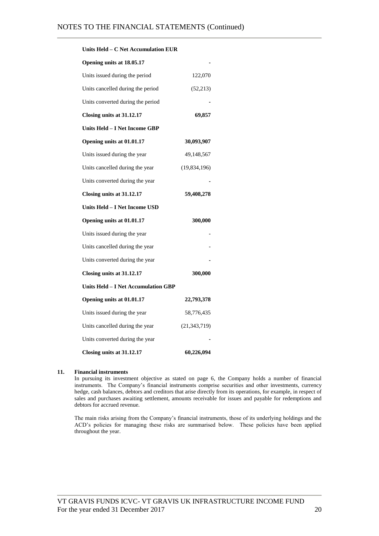| Units Held – C Net Accumulation EUR |                |  |  |  |  |
|-------------------------------------|----------------|--|--|--|--|
| Opening units at 18.05.17           |                |  |  |  |  |
| Units issued during the period      | 122,070        |  |  |  |  |
| Units cancelled during the period   | (52,213)       |  |  |  |  |
| Units converted during the period   |                |  |  |  |  |
| Closing units at 31.12.17           | 69,857         |  |  |  |  |
| Units Held - I Net Income GBP       |                |  |  |  |  |
| Opening units at 01.01.17           | 30,093,907     |  |  |  |  |
| Units issued during the year        | 49,148,567     |  |  |  |  |
| Units cancelled during the year     | (19,834,196)   |  |  |  |  |
| Units converted during the year     |                |  |  |  |  |
| Closing units at 31.12.17           | 59,408,278     |  |  |  |  |
| Units Held - I Net Income USD       |                |  |  |  |  |
| Opening units at 01.01.17           | 300,000        |  |  |  |  |
| Units issued during the year        |                |  |  |  |  |
| Units cancelled during the year     |                |  |  |  |  |
| Units converted during the year     |                |  |  |  |  |
| Closing units at 31.12.17           | 300,000        |  |  |  |  |
| Units Held – I Net Accumulation GBP |                |  |  |  |  |
| Opening units at 01.01.17           | 22,793,378     |  |  |  |  |
| Units issued during the year        | 58,776,435     |  |  |  |  |
| Units cancelled during the year     | (21, 343, 719) |  |  |  |  |
| Units converted during the year     |                |  |  |  |  |
| Closing units at 31.12.17           | 60,226,094     |  |  |  |  |

### **11. Financial instruments**

In pursuing its investment objective as stated on page 6, the Company holds a number of financial instruments. The Company's financial instruments comprise securities and other investments, currency hedge, cash balances, debtors and creditors that arise directly from its operations, for example, in respect of sales and purchases awaiting settlement, amounts receivable for issues and payable for redemptions and debtors for accrued revenue.

The main risks arising from the Company's financial instruments, those of its underlying holdings and the ACD's policies for managing these risks are summarised below. These policies have been applied throughout the year.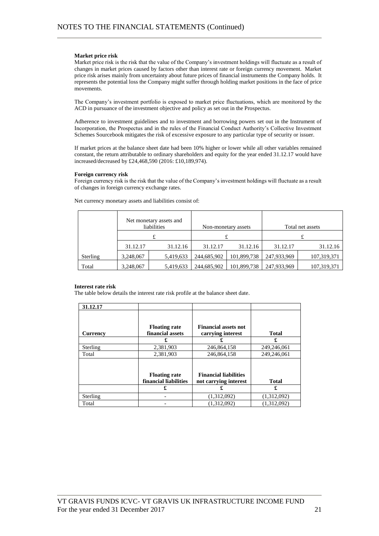### **Market price risk**

Market price risk is the risk that the value of the Company's investment holdings will fluctuate as a result of changes in market prices caused by factors other than interest rate or foreign currency movement. Market price risk arises mainly from uncertainty about future prices of financial instruments the Company holds. It represents the potential loss the Company might suffer through holding market positions in the face of price movements.

The Company's investment portfolio is exposed to market price fluctuations, which are monitored by the ACD in pursuance of the investment objective and policy as set out in the Prospectus.

Adherence to investment guidelines and to investment and borrowing powers set out in the Instrument of Incorporation, the Prospectus and in the rules of the Financial Conduct Authority's Collective Investment Schemes Sourcebook mitigates the risk of excessive exposure to any particular type of security or issuer.

If market prices at the balance sheet date had been 10% higher or lower while all other variables remained constant, the return attributable to ordinary shareholders and equity for the year ended 31.12.17 would have increased/decreased by £24,468,590 (2016: £10,189,974).

### **Foreign currency risk**

Foreign currency risk is the risk that the value of the Company's investment holdings will fluctuate as a result of changes in foreign currency exchange rates.

|          |           | Net monetary assets and<br>liabilities |             | Non-monetary assets |             | Total net assets |
|----------|-----------|----------------------------------------|-------------|---------------------|-------------|------------------|
|          |           |                                        |             |                     |             |                  |
|          | 31.12.17  | 31.12.16                               | 31.12.17    | 31.12.16            | 31.12.17    | 31.12.16         |
| Sterling | 3,248,067 | 5,419,633                              | 244,685,902 | 101,899,738         | 247,933,969 | 107,319,371      |
| Total    | 3,248,067 | 5,419,633                              | 244,685,902 | 101,899,738         | 247,933,969 | 107,319,371      |

Net currency monetary assets and liabilities consist of:

### **Interest rate risk**

The table below details the interest rate risk profile at the balance sheet date.

| 31.12.17        |                                               |                                                       |                   |
|-----------------|-----------------------------------------------|-------------------------------------------------------|-------------------|
| <b>Currency</b> | <b>Floating rate</b><br>financial assets      | <b>Financial assets not</b><br>carrying interest      | <b>Total</b><br>£ |
|                 | £                                             |                                                       |                   |
| Sterling        | 2,381,903                                     | 246,864,158                                           | 249,246,061       |
| Total           | 2,381,903                                     | 246,864,158                                           | 249,246,061       |
|                 | <b>Floating rate</b><br>financial liabilities | <b>Financial liabilities</b><br>not carrying interest | <b>Total</b>      |
|                 | £                                             | £                                                     | £                 |
| Sterling        |                                               | (1,312,092)                                           | (1,312,092)       |
| Total           |                                               | (1,312,092)                                           | (1,312,092)       |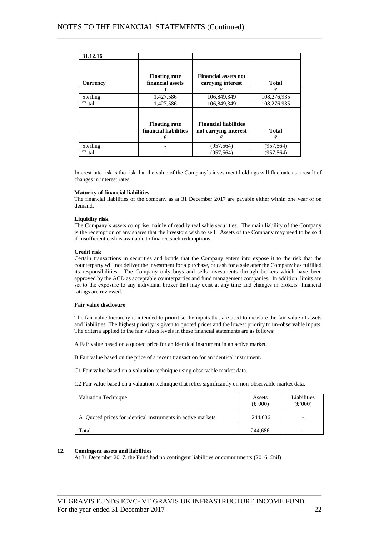| 31.12.16        |                                          |                                                  |              |
|-----------------|------------------------------------------|--------------------------------------------------|--------------|
| <b>Currency</b> | <b>Floating rate</b><br>financial assets | <b>Financial assets not</b><br>carrying interest | <b>Total</b> |
|                 | £                                        |                                                  | £            |
| Sterling        | 1,427,586                                | 106,849,349                                      | 108,276,935  |
| Total           | 1,427,586                                | 106.849.349                                      | 108,276,935  |
|                 | <b>Floating rate</b>                     | <b>Financial liabilities</b>                     |              |
|                 | financial liabilities                    | not carrying interest                            | <b>Total</b> |
|                 | £                                        | £                                                | £            |
| Sterling        |                                          | (957,564)                                        | (957, 564)   |
| Total           |                                          | (957, 564)                                       | (957, 564)   |

Interest rate risk is the risk that the value of the Company's investment holdings will fluctuate as a result of changes in interest rates.

### **Maturity of financial liabilities**

The financial liabilities of the company as at 31 December 2017 are payable either within one year or on demand.

### **Liquidity risk**

The Company's assets comprise mainly of readily realisable securities. The main liability of the Company is the redemption of any shares that the investors wish to sell. Assets of the Company may need to be sold if insufficient cash is available to finance such redemptions.

### **Credit risk**

Certain transactions in securities and bonds that the Company enters into expose it to the risk that the counterparty will not deliver the investment for a purchase, or cash for a sale after the Company has fulfilled its responsibilities. The Company only buys and sells investments through brokers which have been approved by the ACD as acceptable counterparties and fund management companies. In addition, limits are set to the exposure to any individual broker that may exist at any time and changes in brokers' financial ratings are reviewed.

### **Fair value disclosure**

The fair value hierarchy is intended to prioritise the inputs that are used to measure the fair value of assets and liabilities. The highest priority is given to quoted prices and the lowest priority to un-observable inputs. The criteria applied to the fair values levels in these financial statements are as follows:

A Fair value based on a quoted price for an identical instrument in an active market.

B Fair value based on the price of a recent transaction for an identical instrument.

C1 Fair value based on a valuation technique using observable market data.

C2 Fair value based on a valuation technique that relies significantly on non-observable market data.

| <b>Valuation Technique</b>                                  | Assets<br>(E'000) | Liabilities<br>(E'000) |
|-------------------------------------------------------------|-------------------|------------------------|
| A Quoted prices for identical instruments in active markets | 244,686           |                        |
| Total                                                       | 244.686           | ۰                      |

### **12. Contingent assets and liabilities**

At 31 December 2017, the Fund had no contingent liabilities or commitments.(2016: £nil)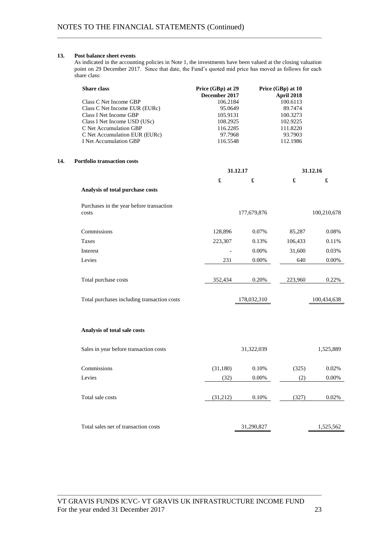### **13. Post balance sheet events**

As indicated in the accounting policies in Note 1, the investments have been valued at the closing valuation point on 29 December 2017. Since that date, the Fund's quoted mid price has moved as follows for each share class:

| <b>Share class</b><br>Class C Net Income GBP<br>Class C Net Income EUR (EURc)<br>Class I Net Income GBP<br>Class I Net Income USD (USc)<br>C Net Accumulation GBP<br>C Net Accumulation EUR (EURc)<br>I Net Accumulation GBP | Price (GBp) at 29<br>December 2017<br>106.2184<br>95.0649<br>105.9131<br>108.2925<br>116.2285<br>97.7968<br>116.5548 |             | Price (GBp) at 10<br>April 2018<br>100.6113<br>89.7474<br>100.3273<br>102.9225<br>111.8220<br>93.7903<br>112.1986 |             |
|------------------------------------------------------------------------------------------------------------------------------------------------------------------------------------------------------------------------------|----------------------------------------------------------------------------------------------------------------------|-------------|-------------------------------------------------------------------------------------------------------------------|-------------|
| 14.<br><b>Portfolio transaction costs</b>                                                                                                                                                                                    |                                                                                                                      |             |                                                                                                                   |             |
|                                                                                                                                                                                                                              |                                                                                                                      | 31.12.17    |                                                                                                                   | 31.12.16    |
|                                                                                                                                                                                                                              | $\pmb{\mathfrak{L}}$                                                                                                 | £           | $\pmb{\mathfrak{L}}$                                                                                              | £           |
| Analysis of total purchase costs                                                                                                                                                                                             |                                                                                                                      |             |                                                                                                                   |             |
| Purchases in the year before transaction<br>costs                                                                                                                                                                            |                                                                                                                      | 177,679,876 |                                                                                                                   | 100,210,678 |
| Commissions                                                                                                                                                                                                                  | 128,896                                                                                                              | 0.07%       | 85,287                                                                                                            | 0.08%       |
| Taxes                                                                                                                                                                                                                        | 223,307                                                                                                              | 0.13%       | 106,433                                                                                                           | 0.11%       |
| Interest                                                                                                                                                                                                                     | $\overline{\phantom{a}}$                                                                                             | 0.00%       | 31,600                                                                                                            | 0.03%       |
| Levies                                                                                                                                                                                                                       | 231                                                                                                                  | 0.00%       | 640                                                                                                               | 0.00%       |
| Total purchase costs                                                                                                                                                                                                         | 352,434                                                                                                              | 0.20%       | 223,960                                                                                                           | 0.22%       |
| Total purchases including transaction costs                                                                                                                                                                                  |                                                                                                                      | 178,032,310 |                                                                                                                   | 100,434,638 |
| Analysis of total sale costs                                                                                                                                                                                                 |                                                                                                                      |             |                                                                                                                   |             |
| Sales in year before transaction costs                                                                                                                                                                                       |                                                                                                                      | 31,322,039  |                                                                                                                   | 1,525,889   |
| Commissions                                                                                                                                                                                                                  | (31,180)                                                                                                             | 0.10%       | (325)                                                                                                             | 0.02%       |
| Levies                                                                                                                                                                                                                       | (32)                                                                                                                 | 0.00%       | (2)                                                                                                               | 0.00%       |
| Total sale costs                                                                                                                                                                                                             | (31,212)                                                                                                             | 0.10%       | (327)                                                                                                             | 0.02%       |
| Total sales net of transaction costs                                                                                                                                                                                         |                                                                                                                      | 31,290,827  |                                                                                                                   | 1,525,562   |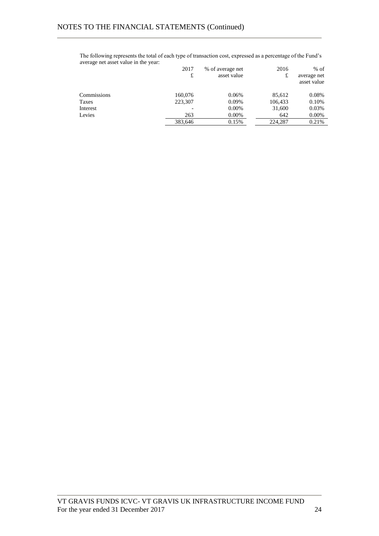The following represents the total of each type of transaction cost, expressed as a percentage of the Fund's average net asset value in the year:

|             | 2017    | % of average net | 2016    | $%$ of                     |
|-------------|---------|------------------|---------|----------------------------|
|             | £       | asset value      | £       | average net<br>asset value |
| Commissions | 160,076 | 0.06%            | 85,612  | 0.08%                      |
| Taxes       | 223,307 | 0.09%            | 106.433 | 0.10%                      |
| Interest    |         | $0.00\%$         | 31,600  | 0.03%                      |
| Levies      | 263     | $0.00\%$         | 642     | 0.00%                      |
|             | 383,646 | 0.15%            | 224,287 | 0.21%                      |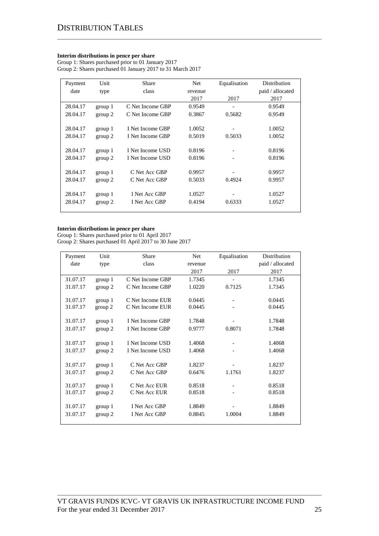### **Interim distributions in pence per share**

Group 1: Shares purchased prior to 01 January 2017 Group 2: Shares purchased 01 January 2017 to 31 March 2017

| Payment  | Unit    | Share            | Net     | Equalisation | Distribution     |
|----------|---------|------------------|---------|--------------|------------------|
| date     | type    | class            | revenue |              | paid / allocated |
|          |         |                  | 2017    | 2017         | 2017             |
| 28.04.17 | group 1 | C Net Income GBP | 0.9549  |              | 0.9549           |
| 28.04.17 | group 2 | C Net Income GBP | 0.3867  | 0.5682       | 0.9549           |
|          |         |                  |         |              |                  |
| 28.04.17 | group 1 | I Net Income GBP | 1.0052  |              | 1.0052           |
| 28.04.17 | group 2 | I Net Income GBP | 0.5019  | 0.5033       | 1.0052           |
|          |         |                  |         |              |                  |
| 28.04.17 | group 1 | I Net Income USD | 0.8196  |              | 0.8196           |
| 28.04.17 | group 2 | I Net Income USD | 0.8196  |              | 0.8196           |
|          |         |                  |         |              |                  |
| 28.04.17 | group 1 | C Net Acc GBP    | 0.9957  |              | 0.9957           |
| 28.04.17 | group 2 | C Net Acc GBP    | 0.5033  | 0.4924       | 0.9957           |
|          |         |                  |         |              |                  |
| 28.04.17 | group 1 | I Net Acc GBP    | 1.0527  |              | 1.0527           |
| 28.04.17 | group 2 | I Net Acc GBP    | 0.4194  | 0.6333       | 1.0527           |
|          |         |                  |         |              |                  |

### **Interim distributions in pence per share**

Group 1: Shares purchased prior to 01 April 2017 Group 2: Shares purchased 01 April 2017 to 30 June 2017

| Payment  | Unit    | Share            | Net     | Equalisation | Distribution     |
|----------|---------|------------------|---------|--------------|------------------|
| date     | type    | class            | revenue |              | paid / allocated |
|          |         |                  | 2017    | 2017         | 2017             |
| 31.07.17 | group 1 | C Net Income GBP | 1.7345  |              | 1.7345           |
| 31.07.17 | group 2 | C Net Income GBP | 1.0220  | 0.7125       | 1.7345           |
|          |         |                  |         |              |                  |
| 31.07.17 | group 1 | C Net Income EUR | 0.0445  |              | 0.0445           |
| 31.07.17 | group 2 | C Net Income EUR | 0.0445  |              | 0.0445           |
|          |         |                  |         |              |                  |
| 31.07.17 | group 1 | I Net Income GBP | 1.7848  |              | 1.7848           |
| 31.07.17 | group 2 | I Net Income GBP | 0.9777  | 0.8071       | 1.7848           |
|          |         |                  |         |              |                  |
| 31.07.17 | group 1 | I Net Income USD | 1.4068  |              | 1.4068           |
| 31.07.17 | group 2 | I Net Income USD | 1.4068  |              | 1.4068           |
|          |         |                  |         |              |                  |
| 31.07.17 | group 1 | C Net Acc GBP    | 1.8237  |              | 1.8237           |
| 31.07.17 | group 2 | C Net Acc GBP    | 0.6476  | 1.1761       | 1.8237           |
|          |         |                  |         |              |                  |
| 31.07.17 | group 1 | C Net Acc EUR    | 0.8518  |              | 0.8518           |
| 31.07.17 | group 2 | C Net Acc EUR    | 0.8518  |              | 0.8518           |
|          |         |                  |         |              |                  |
| 31.07.17 | group 1 | I Net Acc GBP    | 1.8849  |              | 1.8849           |
| 31.07.17 | group 2 | I Net Acc GBP    | 0.8845  | 1.0004       | 1.8849           |
|          |         |                  |         |              |                  |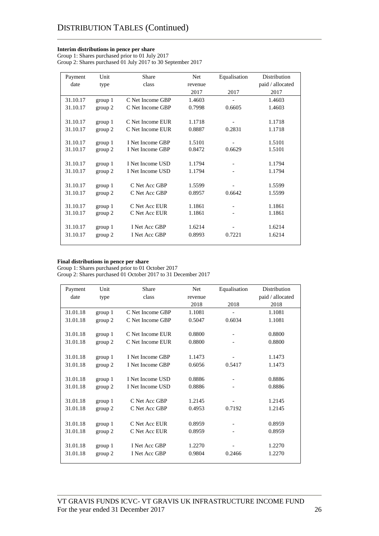### **Interim distributions in pence per share**

Group 1: Shares purchased prior to 01 July 2017 Group 2: Shares purchased 01 July 2017 to 30 September 2017

| Payment  | Unit    | Share            | Net     | Equalisation | Distribution     |
|----------|---------|------------------|---------|--------------|------------------|
| date     | type    | class            | revenue |              | paid / allocated |
|          |         |                  | 2017    | 2017         | 2017             |
| 31.10.17 | group 1 | C Net Income GBP | 1.4603  |              | 1.4603           |
| 31.10.17 | group 2 | C Net Income GBP | 0.7998  | 0.6605       | 1.4603           |
|          |         |                  |         |              |                  |
| 31.10.17 | group 1 | C Net Income EUR | 1.1718  |              | 1.1718           |
| 31.10.17 | group 2 | C Net Income EUR | 0.8887  | 0.2831       | 1.1718           |
|          |         |                  |         |              |                  |
| 31.10.17 | group 1 | I Net Income GBP | 1.5101  |              | 1.5101           |
| 31.10.17 | group 2 | I Net Income GBP | 0.8472  | 0.6629       | 1.5101           |
|          |         |                  |         |              |                  |
| 31.10.17 | group 1 | I Net Income USD | 1.1794  |              | 1.1794           |
| 31.10.17 | group 2 | I Net Income USD | 1.1794  |              | 1.1794           |
|          |         |                  |         |              |                  |
| 31.10.17 | group 1 | C Net Acc GBP    | 1.5599  |              | 1.5599           |
| 31.10.17 | group 2 | C Net Acc GBP    | 0.8957  | 0.6642       | 1.5599           |
|          |         |                  |         |              |                  |
| 31.10.17 | group 1 | C Net Acc EUR    | 1.1861  |              | 1.1861           |
| 31.10.17 | group 2 | C Net Acc EUR    | 1.1861  |              | 1.1861           |
|          |         |                  |         |              |                  |
| 31.10.17 | group 1 | I Net Acc GBP    | 1.6214  |              | 1.6214           |
| 31.10.17 | group 2 | I Net Acc GBP    | 0.8993  | 0.7221       | 1.6214           |
|          |         |                  |         |              |                  |

### **Final distributions in pence per share**

Group 1: Shares purchased prior to 01 October 2017 Group 2: Shares purchased 01 October 2017 to 31 December 2017

| Payment  | Unit    | Share                | <b>Net</b> | Equalisation | Distribution     |
|----------|---------|----------------------|------------|--------------|------------------|
| date     | type    | class                | revenue    |              | paid / allocated |
|          |         |                      | 2018       | 2018         | 2018             |
| 31.01.18 | group 1 | C Net Income GBP     | 1.1081     |              | 1.1081           |
| 31.01.18 | group 2 | C Net Income GBP     | 0.5047     | 0.6034       | 1.1081           |
|          |         |                      |            |              |                  |
| 31.01.18 | group 1 | C Net Income EUR     | 0.8800     |              | 0.8800           |
| 31.01.18 | group 2 | C Net Income EUR     | 0.8800     |              | 0.8800           |
|          |         |                      |            |              |                  |
| 31.01.18 | group 1 | I Net Income GBP     | 1.1473     |              | 1.1473           |
| 31.01.18 | group 2 | I Net Income GBP     | 0.6056     | 0.5417       | 1.1473           |
|          |         |                      |            |              |                  |
| 31.01.18 | group 1 | I Net Income USD     | 0.8886     |              | 0.8886           |
| 31.01.18 | group 2 | I Net Income USD     | 0.8886     |              | 0.8886           |
|          |         |                      |            |              |                  |
| 31.01.18 | group 1 | C Net Acc GBP        | 1.2145     |              | 1.2145           |
| 31.01.18 | group 2 | C Net Acc GBP        | 0.4953     | 0.7192       | 1.2145           |
|          |         |                      |            |              |                  |
| 31.01.18 | group 1 | C Net Acc EUR        | 0.8959     |              | 0.8959           |
| 31.01.18 | group 2 | C Net Acc EUR        | 0.8959     |              | 0.8959           |
|          |         |                      |            |              |                  |
| 31.01.18 | group 1 | I Net Acc GBP        | 1.2270     |              | 1.2270           |
| 31.01.18 | group 2 | <b>I</b> Net Acc GBP | 0.9804     | 0.2466       | 1.2270           |
|          |         |                      |            |              |                  |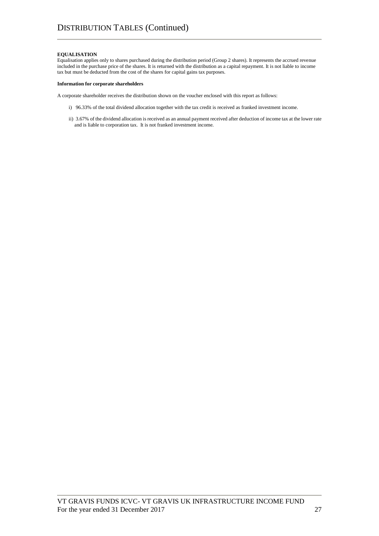### **EQUALISATION**

Equalisation applies only to shares purchased during the distribution period (Group 2 shares). It represents the accrued revenue included in the purchase price of the shares. It is returned with the distribution as a capital repayment. It is not liable to income tax but must be deducted from the cost of the shares for capital gains tax purposes.

#### **Information for corporate shareholders**

A corporate shareholder receives the distribution shown on the voucher enclosed with this report as follows:

- i) 96.33% of the total dividend allocation together with the tax credit is received as franked investment income.
- ii) 3.67% of the dividend allocation is received as an annual payment received after deduction of income tax at the lower rate and is liable to corporation tax. It is not franked investment income.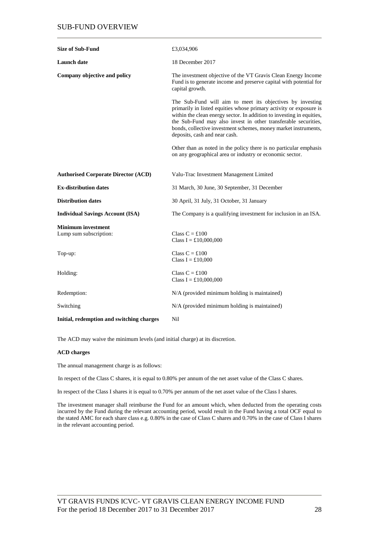### SUB-FUND OVERVIEW

| <b>Size of Sub-Fund</b>                             | £3,034,906                                                                                                                                                                                                                                                                                                                                                                     |
|-----------------------------------------------------|--------------------------------------------------------------------------------------------------------------------------------------------------------------------------------------------------------------------------------------------------------------------------------------------------------------------------------------------------------------------------------|
| <b>Launch date</b>                                  | 18 December 2017                                                                                                                                                                                                                                                                                                                                                               |
| Company objective and policy                        | The investment objective of the VT Gravis Clean Energy Income<br>Fund is to generate income and preserve capital with potential for<br>capital growth.                                                                                                                                                                                                                         |
|                                                     | The Sub-Fund will aim to meet its objectives by investing<br>primarily in listed equities whose primary activity or exposure is<br>within the clean energy sector. In addition to investing in equities,<br>the Sub-Fund may also invest in other transferable securities,<br>bonds, collective investment schemes, money market instruments,<br>deposits, cash and near cash. |
|                                                     | Other than as noted in the policy there is no particular emphasis<br>on any geographical area or industry or economic sector.                                                                                                                                                                                                                                                  |
| <b>Authorised Corporate Director (ACD)</b>          | Valu-Trac Investment Management Limited                                                                                                                                                                                                                                                                                                                                        |
| <b>Ex-distribution dates</b>                        | 31 March, 30 June, 30 September, 31 December                                                                                                                                                                                                                                                                                                                                   |
| <b>Distribution dates</b>                           | 30 April, 31 July, 31 October, 31 January                                                                                                                                                                                                                                                                                                                                      |
| <b>Individual Savings Account (ISA)</b>             | The Company is a qualifying investment for inclusion in an ISA.                                                                                                                                                                                                                                                                                                                |
| <b>Minimum investment</b><br>Lump sum subscription: | Class $C = £100$<br>Class I = £10,000,000                                                                                                                                                                                                                                                                                                                                      |
| Top-up:                                             | Class $C = £100$<br>Class $I = £10,000$                                                                                                                                                                                                                                                                                                                                        |
| Holding:                                            | Class $C = £100$<br>Class I = £10,000,000                                                                                                                                                                                                                                                                                                                                      |
| Redemption:                                         | N/A (provided minimum holding is maintained)                                                                                                                                                                                                                                                                                                                                   |
| Switching                                           | N/A (provided minimum holding is maintained)                                                                                                                                                                                                                                                                                                                                   |
| Initial, redemption and switching charges           | Nil                                                                                                                                                                                                                                                                                                                                                                            |

The ACD may waive the minimum levels (and initial charge) at its discretion.

### **ACD charges**

The annual management charge is as follows:

In respect of the Class C shares, it is equal to 0.80% per annum of the net asset value of the Class C shares.

In respect of the Class I shares it is equal to 0.70% per annum of the net asset value of the Class I shares.

The investment manager shall reimburse the Fund for an amount which, when deducted from the operating costs incurred by the Fund during the relevant accounting period, would result in the Fund having a total OCF equal to the stated AMC for each share class e.g. 0.80% in the case of Class C shares and 0.70% in the case of Class I shares in the relevant accounting period.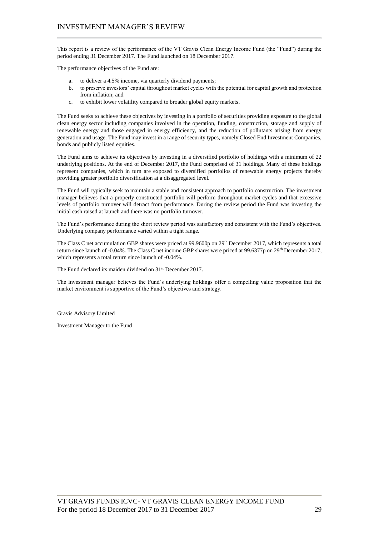This report is a review of the performance of the VT Gravis Clean Energy Income Fund (the "Fund") during the period ending 31 December 2017. The Fund launched on 18 December 2017.

The performance objectives of the Fund are:

- a. to deliver a 4.5% income, via quarterly dividend payments;
- b. to preserve investors' capital throughout market cycles with the potential for capital growth and protection from inflation; and
- c. to exhibit lower volatility compared to broader global equity markets.

The Fund seeks to achieve these objectives by investing in a portfolio of securities providing exposure to the global clean energy sector including companies involved in the operation, funding, construction, storage and supply of renewable energy and those engaged in energy efficiency, and the reduction of pollutants arising from energy generation and usage. The Fund may invest in a range of security types, namely Closed End Investment Companies, bonds and publicly listed equities.

The Fund aims to achieve its objectives by investing in a diversified portfolio of holdings with a minimum of 22 underlying positions. At the end of December 2017, the Fund comprised of 31 holdings. Many of these holdings represent companies, which in turn are exposed to diversified portfolios of renewable energy projects thereby providing greater portfolio diversification at a disaggregated level.

The Fund will typically seek to maintain a stable and consistent approach to portfolio construction. The investment manager believes that a properly constructed portfolio will perform throughout market cycles and that excessive levels of portfolio turnover will detract from performance. During the review period the Fund was investing the initial cash raised at launch and there was no portfolio turnover.

The Fund's performance during the short review period was satisfactory and consistent with the Fund's objectives. Underlying company performance varied within a tight range.

The Class C net accumulation GBP shares were priced at 99.9600p on 29th December 2017, which represents a total return since launch of -0.04%. The Class C net income GBP shares were priced at 99.6377p on 29<sup>th</sup> December 2017, which represents a total return since launch of -0.04%.

The Fund declared its maiden dividend on 31<sup>st</sup> December 2017.

The investment manager believes the Fund's underlying holdings offer a compelling value proposition that the market environment is supportive of the Fund's objectives and strategy.

Gravis Advisory Limited

Investment Manager to the Fund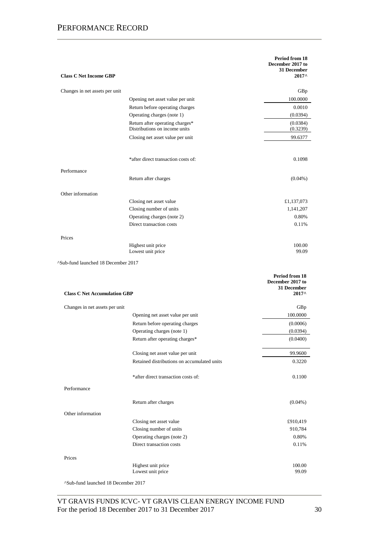## PERFORMANCE RECORD

| <b>Class C Net Income GBP</b>                   |                                                                  | Period from 18<br>December 2017 to<br>31 December<br>$2017^{\circ}$ |
|-------------------------------------------------|------------------------------------------------------------------|---------------------------------------------------------------------|
| Changes in net assets per unit                  |                                                                  | GBp                                                                 |
|                                                 | Opening net asset value per unit                                 | 100.0000                                                            |
|                                                 | Return before operating charges                                  | 0.0010                                                              |
|                                                 | Operating charges (note 1)                                       | (0.0394)                                                            |
|                                                 | Return after operating charges*<br>Distributions on income units | (0.0384)<br>(0.3239)                                                |
|                                                 | Closing net asset value per unit                                 | 99.6377                                                             |
|                                                 | *after direct transaction costs of:                              | 0.1098                                                              |
| Performance                                     |                                                                  |                                                                     |
|                                                 | Return after charges                                             | $(0.04\%)$                                                          |
| Other information                               |                                                                  |                                                                     |
|                                                 | Closing net asset value                                          | £1,137,073                                                          |
|                                                 | Closing number of units                                          | 1,141,207                                                           |
|                                                 | Operating charges (note 2)                                       | 0.80%                                                               |
|                                                 | Direct transaction costs                                         | 0.11%                                                               |
| Prices                                          |                                                                  |                                                                     |
|                                                 | Highest unit price<br>Lowest unit price                          | 100.00<br>99.09                                                     |
| <sup>^</sup> Sub-fund launched 18 December 2017 |                                                                  |                                                                     |
| <b>Class C Net Accumulation GBP</b>             |                                                                  | Period from 18<br>December 2017 to<br>31 December<br>$2017^{\circ}$ |
| Changes in net assets per unit                  |                                                                  | GBp                                                                 |
|                                                 | Opening net asset value per unit                                 | 100.0000                                                            |
|                                                 | Return before operating charges                                  | (0.0006)                                                            |
|                                                 | Operating charges (note 1)                                       | (0.0394)                                                            |
|                                                 | Return after operating charges*                                  | (0.0400)                                                            |
|                                                 | Closing net asset value per unit                                 | 99.9600                                                             |
|                                                 | Retained distributions on accumulated units                      | 0.3220                                                              |
|                                                 | *after direct transaction costs of:                              | 0.1100                                                              |
| Performance                                     |                                                                  |                                                                     |
|                                                 | Return after charges                                             | $(0.04\%)$                                                          |
| Other information                               |                                                                  |                                                                     |
|                                                 | Closing net asset value                                          | £910,419                                                            |
|                                                 | Closing number of units                                          | 910,784                                                             |
|                                                 | Operating charges (note 2)                                       | 0.80%                                                               |
|                                                 | Direct transaction costs                                         | 0.11%                                                               |
| Prices                                          |                                                                  |                                                                     |
|                                                 | Highest unit price<br>Lowest unit price                          | 100.00<br>99.09                                                     |

^Sub-fund launched 18 December 2017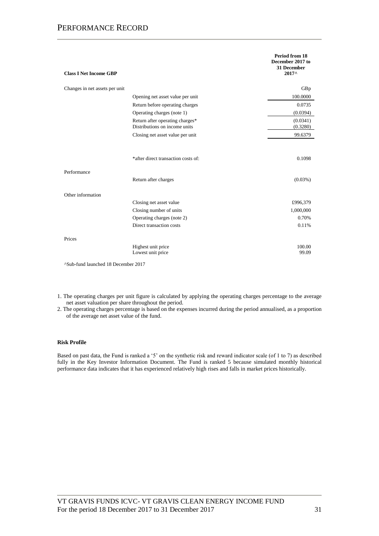## PERFORMANCE RECORD

| Period from 18<br>December 2017 to<br>31 December<br>$2017^{\circ}$ |
|---------------------------------------------------------------------|
| GBp                                                                 |
| 100.0000                                                            |
| 0.0735                                                              |
| (0.0394)                                                            |
| (0.0341)<br>(0.3280)                                                |
| 99.6379                                                             |
| 0.1098<br>$(0.03\%)$                                                |
|                                                                     |
| £996,379                                                            |
| 1,000,000                                                           |
| 0.70%                                                               |
| 0.11%                                                               |
|                                                                     |
| 100.00<br>99.09                                                     |
|                                                                     |
|                                                                     |

^Sub-fund launched 18 December 2017

1. The operating charges per unit figure is calculated by applying the operating charges percentage to the average net asset valuation per share throughout the period.

2. The operating charges percentage is based on the expenses incurred during the period annualised, as a proportion of the average net asset value of the fund.

### **Risk Profile**

Based on past data, the Fund is ranked a '5' on the synthetic risk and reward indicator scale (of 1 to 7) as described fully in the Key Investor Information Document. The Fund is ranked 5 because simulated monthly historical performance data indicates that it has experienced relatively high rises and falls in market prices historically.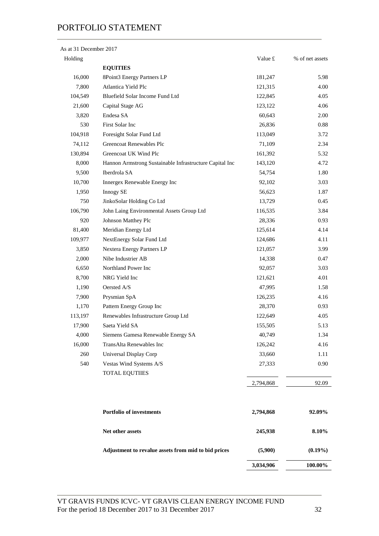## PORTFOLIO STATEMENT

As at 31 December 2017

| Holding |                                                         | Value £   | % of net assets |
|---------|---------------------------------------------------------|-----------|-----------------|
|         | <b>EQUITIES</b>                                         |           |                 |
| 16,000  | 8Point3 Energy Partners LP                              | 181,247   | 5.98            |
| 7,800   | Atlantica Yield Plc                                     | 121,315   | 4.00            |
| 104,549 | Bluefield Solar Income Fund Ltd                         | 122,845   | 4.05            |
| 21,600  | Capital Stage AG                                        | 123,122   | 4.06            |
| 3,820   | Endesa SA                                               | 60,643    | 2.00            |
| 530     | First Solar Inc                                         | 26,836    | 0.88            |
| 104,918 | Foresight Solar Fund Ltd                                | 113,049   | 3.72            |
| 74,112  | Greencoat Renewables Plc                                | 71,109    | 2.34            |
| 130,894 | Greencoat UK Wind Plc                                   | 161,392   | 5.32            |
| 8,000   | Hannon Armstrong Sustainable Infrastructure Capital Inc | 143,120   | 4.72            |
| 9,500   | Iberdrola SA                                            | 54,754    | 1.80            |
| 10,700  | Innergex Renewable Energy Inc                           | 92,102    | 3.03            |
| 1,950   | <b>Innogy SE</b>                                        | 56,623    | 1.87            |
| 750     | JinkoSolar Holding Co Ltd                               | 13,729    | 0.45            |
| 106,790 | John Laing Environmental Assets Group Ltd               | 116,535   | 3.84            |
| 920     | Johnson Matthey Plc                                     | 28,336    | 0.93            |
| 81,400  | Meridian Energy Ltd                                     | 125,614   | 4.14            |
| 109,977 | NextEnergy Solar Fund Ltd                               | 124,686   | 4.11            |
| 3,850   | Nextera Energy Partners LP                              | 121,057   | 3.99            |
| 2,000   | Nibe Industrier AB                                      | 14,338    | 0.47            |
| 6,650   | Northland Power Inc                                     | 92,057    | 3.03            |
| 8,700   | NRG Yield Inc                                           | 121,621   | 4.01            |
| 1,190   | Oersted A/S                                             | 47,995    | 1.58            |
| 7,900   | Prysmian SpA                                            | 126,235   | 4.16            |
| 1,170   | Pattern Energy Group Inc                                | 28,370    | 0.93            |
| 113,197 | Renewables Infrastructure Group Ltd                     | 122,649   | 4.05            |
| 17,900  | Saeta Yield SA                                          | 155,505   | 5.13            |
| 4,000   | Siemens Gamesa Renewable Energy SA                      | 40,749    | 1.34            |
| 16,000  | TransAlta Renewables Inc                                | 126,242   | 4.16            |
| 260     | Universal Display Corp                                  | 33,660    | 1.11            |
| 540     | Vestas Wind Systems A/S                                 | 27,333    | 0.90            |
|         | <b>TOTAL EQUTIIES</b>                                   |           |                 |
|         |                                                         | 2,794,868 | 92.09           |
|         | <b>Portfolio of investments</b>                         | 2,794,868 | 92.09%          |
|         | Net other assets                                        | 245,938   | 8.10%           |
|         | Adjustment to revalue assets from mid to bid prices     | (5,900)   | $(0.19\%)$      |
|         |                                                         | 3,034,906 | 100.00%         |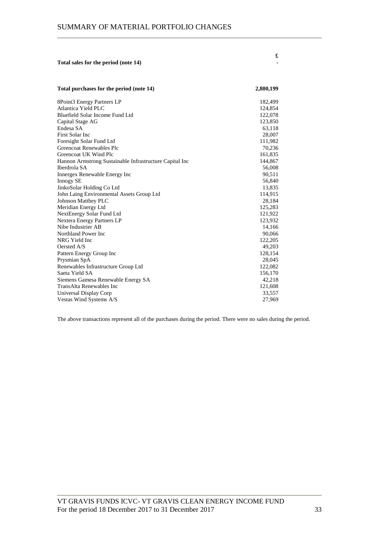**Total sales for the period (note 14) -**

| Total purchases for the period (note 14)                | 2,800,199 |
|---------------------------------------------------------|-----------|
| 8Point3 Energy Partners LP                              | 182,499   |
| Atlantica Yield PLC                                     | 124,854   |
| Bluefield Solar Income Fund Ltd                         | 122,078   |
| Capital Stage AG                                        | 123,850   |
| Endesa SA                                               | 63,118    |
| First Solar Inc                                         | 28,007    |
| Foresight Solar Fund Ltd                                | 111,982   |
| Greencoat Renewables Plc                                | 70,236    |
| Greencoat UK Wind Plc                                   | 161,835   |
| Hannon Armstrong Sustainable Infrastructure Capital Inc | 144,867   |
| Iberdrola SA                                            | 56,008    |
| Innergex Renewable Energy Inc                           | 90,511    |
| Innogy SE                                               | 56,840    |
| JinkoSolar Holding Co Ltd                               | 13,835    |
| John Laing Environmental Assets Group Ltd               | 114,915   |
| Johnson Matthey PLC                                     | 28,184    |
| Meridian Energy Ltd                                     | 125,283   |
| NextEnergy Solar Fund Ltd                               | 121,922   |
| Nextera Energy Partners LP                              | 123,932   |
| Nibe Industrier AB                                      | 14,166    |
| Northland Power Inc                                     | 90,066    |
| NRG Yield Inc                                           | 122,205   |
| Oersted A/S                                             | 49,203    |
| Pattern Energy Group Inc                                | 128,154   |
| Prysmian SpA                                            | 28,045    |
| Renewables Infrastructure Group Ltd                     | 122,082   |
| Saeta Yield SA                                          | 156,170   |
| Siemens Gamesa Renewable Energy SA                      | 42,218    |
| TransAlta Renewables Inc                                | 121,608   |
| Universal Display Corp                                  | 33,557    |
| Vestas Wind Systems A/S                                 | 27,969    |

The above transactions represent all of the purchases during the period. There were no sales during the period.

**£**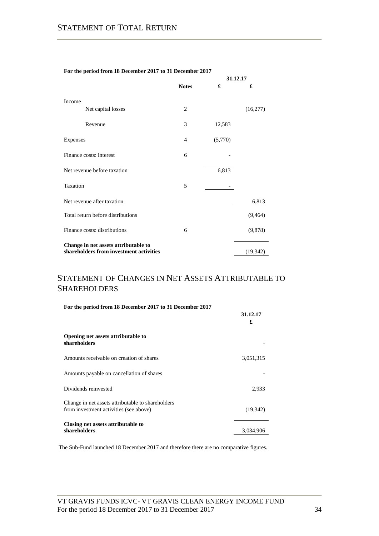|                                                                                 |                | 31.12.17 |           |
|---------------------------------------------------------------------------------|----------------|----------|-----------|
|                                                                                 | <b>Notes</b>   | £        | £         |
| Income                                                                          |                |          |           |
| Net capital losses                                                              | $\overline{2}$ |          | (16,277)  |
| Revenue                                                                         | 3              | 12,583   |           |
| Expenses                                                                        | $\overline{4}$ | (5,770)  |           |
| Finance costs: interest                                                         | 6              |          |           |
| Net revenue before taxation                                                     |                | 6,813    |           |
| Taxation                                                                        | 5              |          |           |
| Net revenue after taxation                                                      |                |          | 6,813     |
| Total return before distributions                                               |                |          | (9, 464)  |
| Finance costs: distributions                                                    | 6              |          | (9,878)   |
| Change in net assets attributable to<br>shareholders from investment activities |                |          | (19, 342) |

### **For the period from 18 December 2017 to 31 December 2017**

## STATEMENT OF CHANGES IN NET ASSETS ATTRIBUTABLE TO SHAREHOLDERS

| For the period from 18 December 2017 to 31 December 2017                                    |               |
|---------------------------------------------------------------------------------------------|---------------|
|                                                                                             | 31.12.17<br>£ |
| Opening net assets attributable to<br>shareholders                                          |               |
| Amounts receivable on creation of shares                                                    | 3,051,315     |
| Amounts payable on cancellation of shares                                                   |               |
| Dividends reinvested                                                                        | 2,933         |
| Change in net assets attributable to shareholders<br>from investment activities (see above) | (19, 342)     |
| Closing net assets attributable to<br>shareholders                                          | 3.034.906     |

The Sub-Fund launched 18 December 2017 and therefore there are no comparative figures.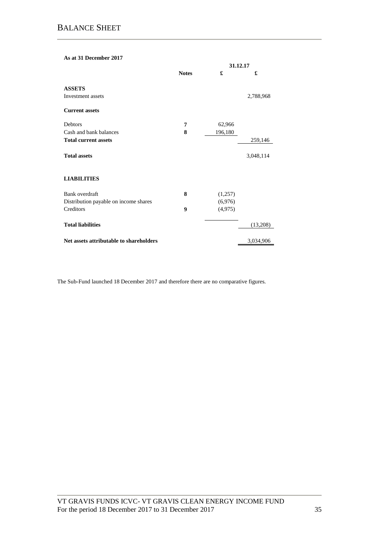### **As at 31 December 2017**

|                                         |              |         | 31.12.17  |  |  |
|-----------------------------------------|--------------|---------|-----------|--|--|
|                                         | <b>Notes</b> | £       | £         |  |  |
| <b>ASSETS</b>                           |              |         |           |  |  |
| Investment assets                       |              |         | 2,788,968 |  |  |
| <b>Current assets</b>                   |              |         |           |  |  |
| Debtors                                 | 7            | 62,966  |           |  |  |
| Cash and bank balances                  | 8            | 196,180 |           |  |  |
| <b>Total current assets</b>             |              |         | 259,146   |  |  |
| <b>Total assets</b>                     |              |         | 3,048,114 |  |  |
| <b>LIABILITIES</b>                      |              |         |           |  |  |
| Bank overdraft                          | 8            | (1,257) |           |  |  |
| Distribution payable on income shares   |              | (6,976) |           |  |  |
| Creditors                               | 9            | (4,975) |           |  |  |
| <b>Total liabilities</b>                |              |         | (13,208)  |  |  |
| Net assets attributable to shareholders |              |         | 3,034,906 |  |  |

The Sub-Fund launched 18 December 2017 and therefore there are no comparative figures.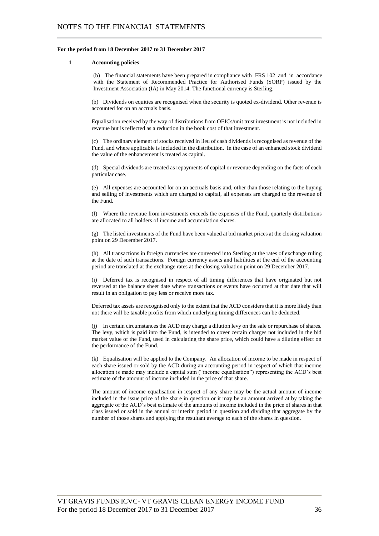### **For the period from 18 December 2017 to 31 December 2017**

### **1 Accounting policies**

(b) The financial statements have been prepared in compliance with FRS 102 and in accordance with the Statement of Recommended Practice for Authorised Funds (SORP) issued by the Investment Association (IA) in May 2014. The functional currency is Sterling.

(b) Dividends on equities are recognised when the security is quoted ex-dividend. Other revenue is accounted for on an accruals basis.

Equalisation received by the way of distributions from OEICs/unit trust investment is not included in revenue but is reflected as a reduction in the book cost of that investment.

(c) The ordinary element of stocks received in lieu of cash dividends is recognised as revenue of the Fund, and where applicable is included in the distribution. In the case of an enhanced stock dividend the value of the enhancement is treated as capital.

(d) Special dividends are treated as repayments of capital or revenue depending on the facts of each particular case.

(e) All expenses are accounted for on an accruals basis and, other than those relating to the buying and selling of investments which are charged to capital, all expenses are charged to the revenue of the Fund.

(f) Where the revenue from investments exceeds the expenses of the Fund, quarterly distributions are allocated to all holders of income and accumulation shares.

(g) The listed investments of the Fund have been valued at bid market prices at the closing valuation point on 29 December 2017.

(h) All transactions in foreign currencies are converted into Sterling at the rates of exchange ruling at the date of such transactions. Foreign currency assets and liabilities at the end of the accounting period are translated at the exchange rates at the closing valuation point on 29 December 2017.

(i) Deferred tax is recognised in respect of all timing differences that have originated but not reversed at the balance sheet date where transactions or events have occurred at that date that will result in an obligation to pay less or receive more tax.

Deferred tax assets are recognised only to the extent that the ACD considers that it is more likely than not there will be taxable profits from which underlying timing differences can be deducted.

(j) In certain circumstances the ACD may charge a dilution levy on the sale or repurchase of shares. The levy, which is paid into the Fund, is intended to cover certain charges not included in the bid market value of the Fund, used in calculating the share price, which could have a diluting effect on the performance of the Fund.

(k) Equalisation will be applied to the Company. An allocation of income to be made in respect of each share issued or sold by the ACD during an accounting period in respect of which that income allocation is made may include a capital sum ("income equalisation") representing the ACD's best estimate of the amount of income included in the price of that share.

The amount of income equalisation in respect of any share may be the actual amount of income included in the issue price of the share in question or it may be an amount arrived at by taking the aggregate of the ACD's best estimate of the amounts of income included in the price of shares in that class issued or sold in the annual or interim period in question and dividing that aggregate by the number of those shares and applying the resultant average to each of the shares in question.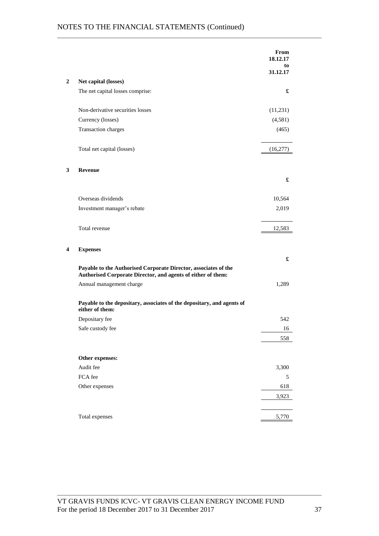|   |                                                                                                                                 | From<br>18.12.17<br>to<br>31.12.17 |
|---|---------------------------------------------------------------------------------------------------------------------------------|------------------------------------|
| 2 | Net capital (losses)                                                                                                            |                                    |
|   | The net capital losses comprise:                                                                                                | £                                  |
|   | Non-derivative securities losses                                                                                                | (11,231)                           |
|   | Currency (losses)                                                                                                               | (4,581)                            |
|   | Transaction charges                                                                                                             | (465)                              |
|   | Total net capital (losses)                                                                                                      | (16,277)                           |
| 3 | <b>Revenue</b>                                                                                                                  |                                    |
|   |                                                                                                                                 | £                                  |
|   | Overseas dividends                                                                                                              | 10,564                             |
|   | Investment manager's rebate                                                                                                     | 2,019                              |
|   | Total revenue                                                                                                                   | 12,583                             |
| 4 | <b>Expenses</b>                                                                                                                 |                                    |
|   | Payable to the Authorised Corporate Director, associates of the<br>Authorised Corporate Director, and agents of either of them: | £                                  |
|   | Annual management charge                                                                                                        | 1,289                              |
|   | Payable to the depositary, associates of the depositary, and agents of<br>either of them:                                       |                                    |
|   | Depositary fee                                                                                                                  | 542                                |
|   | Safe custody fee                                                                                                                | 16                                 |
|   |                                                                                                                                 | 558                                |
|   | Other expenses:                                                                                                                 |                                    |
|   | Audit fee                                                                                                                       | 3,300                              |
|   | FCA fee                                                                                                                         | 5                                  |
|   | Other expenses                                                                                                                  | 618                                |
|   |                                                                                                                                 | 3,923                              |
|   | Total expenses                                                                                                                  | 5,770                              |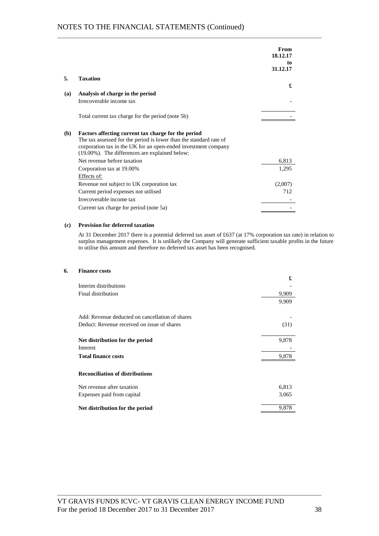|     |                                                                                                                                                                                                                                               | From<br>18.12.17<br>to<br>31.12.17 |
|-----|-----------------------------------------------------------------------------------------------------------------------------------------------------------------------------------------------------------------------------------------------|------------------------------------|
| 5.  | <b>Taxation</b>                                                                                                                                                                                                                               |                                    |
| (a) | Analysis of charge in the period<br>Irrecoverable income tax                                                                                                                                                                                  | £                                  |
|     | Total current tax charge for the period (note 5b)                                                                                                                                                                                             |                                    |
| (b) | Factors affecting current tax charge for the period<br>The tax assessed for the period is lower than the standard rate of<br>corporation tax in the UK for an open-ended investment company<br>(19.00%). The differences are explained below: |                                    |
|     | Net revenue before taxation                                                                                                                                                                                                                   | 6,813                              |
|     | Corporation tax at 19.00%                                                                                                                                                                                                                     | 1,295                              |
|     | Effects of:                                                                                                                                                                                                                                   |                                    |
|     | Revenue not subject to UK corporation tax                                                                                                                                                                                                     | (2,007)                            |
|     | Current period expenses not utilised                                                                                                                                                                                                          | 712                                |
|     | Irrecoverable income tax                                                                                                                                                                                                                      |                                    |
|     | Current tax charge for period (note 5a)                                                                                                                                                                                                       |                                    |

### **(c) Provision for deferred taxation**

At 31 December 2017 there is a potential deferred tax asset of £637 (at 17% corporation tax rate) in relation to surplus management expenses. It is unlikely the Company will generate sufficient taxable profits in the future to utilise this amount and therefore no deferred tax asset has been recognised.

### **6. Finance costs**

|                                                 | £     |
|-------------------------------------------------|-------|
| Interim distributions                           |       |
| Final distribution                              | 9,909 |
|                                                 | 9,909 |
| Add: Revenue deducted on cancellation of shares |       |
| Deduct: Revenue received on issue of shares     | (31)  |
| Net distribution for the period                 | 9,878 |
| Interest                                        |       |
| <b>Total finance costs</b>                      | 9,878 |
| <b>Reconciliation of distributions</b>          |       |
| Net revenue after taxation                      | 6,813 |
| Expenses paid from capital                      | 3,065 |
| Net distribution for the period                 | 9,878 |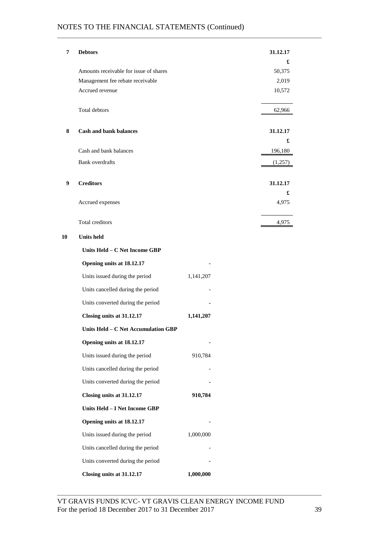| 7                | <b>Debtors</b>                                                             |           | 31.12.17        |
|------------------|----------------------------------------------------------------------------|-----------|-----------------|
|                  |                                                                            |           | £               |
|                  | Amounts receivable for issue of shares<br>Management fee rebate receivable |           | 50,375<br>2,019 |
|                  | Accrued revenue                                                            |           | 10,572          |
|                  |                                                                            |           |                 |
|                  | Total debtors                                                              |           | 62,966          |
|                  |                                                                            |           |                 |
| 8                | <b>Cash and bank balances</b>                                              |           | 31.12.17        |
|                  | Cash and bank balances                                                     |           | £<br>196,180    |
|                  | <b>Bank</b> overdrafts                                                     |           | (1,257)         |
|                  |                                                                            |           |                 |
| $\boldsymbol{9}$ | <b>Creditors</b>                                                           |           | 31.12.17        |
|                  |                                                                            |           | £               |
|                  | Accrued expenses                                                           |           | 4,975           |
|                  | Total creditors                                                            |           | 4,975           |
| 10               | <b>Units held</b>                                                          |           |                 |
|                  | Units Held - C Net Income GBP                                              |           |                 |
|                  | Opening units at 18.12.17                                                  |           |                 |
|                  | Units issued during the period                                             | 1,141,207 |                 |
|                  | Units cancelled during the period                                          |           |                 |
|                  | Units converted during the period                                          |           |                 |
|                  | Closing units at 31.12.17                                                  | 1,141,207 |                 |
|                  | Units Held - C Net Accumulation GBP                                        |           |                 |
|                  | Opening units at 18.12.17                                                  |           |                 |
|                  | Units issued during the period                                             | 910,784   |                 |
|                  | Units cancelled during the period                                          |           |                 |
|                  | Units converted during the period                                          |           |                 |
|                  | Closing units at 31.12.17                                                  | 910,784   |                 |
|                  | Units Held - I Net Income GBP                                              |           |                 |
|                  | Opening units at 18.12.17                                                  |           |                 |
|                  | Units issued during the period                                             | 1,000,000 |                 |
|                  | Units cancelled during the period                                          |           |                 |
|                  | Units converted during the period                                          |           |                 |
|                  | Closing units at 31.12.17                                                  | 1,000,000 |                 |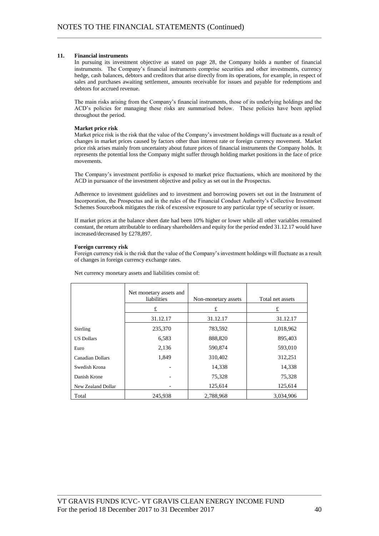### **11. Financial instruments**

In pursuing its investment objective as stated on page 28, the Company holds a number of financial instruments. The Company's financial instruments comprise securities and other investments, currency hedge, cash balances, debtors and creditors that arise directly from its operations, for example, in respect of sales and purchases awaiting settlement, amounts receivable for issues and payable for redemptions and debtors for accrued revenue.

The main risks arising from the Company's financial instruments, those of its underlying holdings and the ACD's policies for managing these risks are summarised below. These policies have been applied throughout the period.

### **Market price risk**

Market price risk is the risk that the value of the Company's investment holdings will fluctuate as a result of changes in market prices caused by factors other than interest rate or foreign currency movement. Market price risk arises mainly from uncertainty about future prices of financial instruments the Company holds. It represents the potential loss the Company might suffer through holding market positions in the face of price movements.

The Company's investment portfolio is exposed to market price fluctuations, which are monitored by the ACD in pursuance of the investment objective and policy as set out in the Prospectus.

Adherence to investment guidelines and to investment and borrowing powers set out in the Instrument of Incorporation, the Prospectus and in the rules of the Financial Conduct Authority's Collective Investment Schemes Sourcebook mitigates the risk of excessive exposure to any particular type of security or issuer.

If market prices at the balance sheet date had been 10% higher or lower while all other variables remained constant, the return attributable to ordinary shareholders and equity for the period ended 31.12.17 would have increased/decreased by £278,897.

### **Foreign currency risk**

Foreign currency risk is the risk that the value of the Company's investment holdings will fluctuate as a result of changes in foreign currency exchange rates.

|                         | Net monetary assets and<br>liabilities<br>£ | Non-monetary assets<br>£ | Total net assets<br>£ |
|-------------------------|---------------------------------------------|--------------------------|-----------------------|
|                         |                                             |                          |                       |
|                         | 31.12.17                                    | 31.12.17                 | 31.12.17              |
| Sterling                | 235,370                                     | 783,592                  | 1,018,962             |
| <b>US Dollars</b>       | 6,583                                       | 888,820                  | 895,403               |
| Euro                    | 2,136                                       | 590,874                  | 593,010               |
| <b>Canadian Dollars</b> | 1,849                                       | 310,402                  | 312,251               |
| Swedish Krona           |                                             | 14,338                   | 14,338                |
| Danish Krone            |                                             | 75,328                   | 75,328                |
| New Zealand Dollar      |                                             | 125,614                  | 125,614               |
| Total                   | 245,938                                     | 2,788,968                | 3,034,906             |

Net currency monetary assets and liabilities consist of: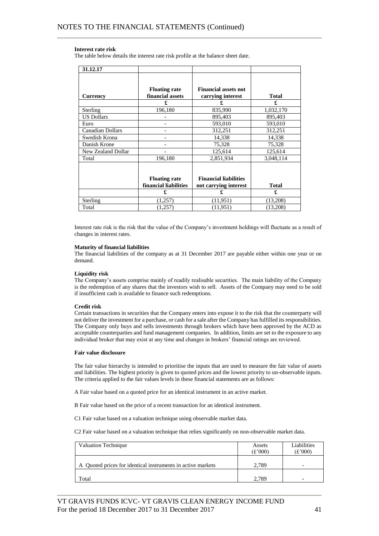### **Interest rate risk**

The table below details the interest rate risk profile at the balance sheet date.

| 31.12.17                |                                          |                                                  |              |
|-------------------------|------------------------------------------|--------------------------------------------------|--------------|
| <b>Currency</b>         | <b>Floating rate</b><br>financial assets | <b>Financial assets not</b><br>carrying interest | <b>Total</b> |
|                         | £                                        | £                                                | £            |
| Sterling                | 196,180                                  | 835,990                                          | 1,032,170    |
| <b>US Dollars</b>       |                                          | 895,403                                          | 895,403      |
| Euro                    |                                          | 593,010                                          | 593,010      |
| <b>Canadian Dollars</b> |                                          | 312,251                                          | 312,251      |
| Swedish Krona           |                                          | 14,338                                           | 14,338       |
| Danish Krone            |                                          | 75,328                                           | 75,328       |
| New Zealand Dollar      |                                          | 125,614                                          | 125,614      |
| Total                   | 196,180                                  | 2,851,934                                        | 3,048,114    |
|                         | <b>Floating rate</b>                     | <b>Financial liabilities</b>                     |              |
|                         | financial liabilities                    | not carrying interest                            | <b>Total</b> |
|                         | £                                        | £                                                | £            |
| Sterling                | (1,257)                                  | (11, 951)                                        | (13,208)     |
| Total                   | (1,257)                                  | (11, 951)                                        | (13,208)     |

Interest rate risk is the risk that the value of the Company's investment holdings will fluctuate as a result of changes in interest rates.

### **Maturity of financial liabilities**

The financial liabilities of the company as at 31 December 2017 are payable either within one year or on demand.

### **Liquidity risk**

The Company's assets comprise mainly of readily realisable securities. The main liability of the Company is the redemption of any shares that the investors wish to sell. Assets of the Company may need to be sold if insufficient cash is available to finance such redemptions.

### **Credit risk**

Certain transactions in securities that the Company enters into expose it to the risk that the counterparty will not deliver the investment for a purchase, or cash for a sale after the Company has fulfilled its responsibilities. The Company only buys and sells investments through brokers which have been approved by the ACD as acceptable counterparties and fund management companies. In addition, limits are set to the exposure to any individual broker that may exist at any time and changes in brokers' financial ratings are reviewed.

#### **Fair value disclosure**

The fair value hierarchy is intended to prioritise the inputs that are used to measure the fair value of assets and liabilities. The highest priority is given to quoted prices and the lowest priority to un-observable inputs. The criteria applied to the fair values levels in these financial statements are as follows:

A Fair value based on a quoted price for an identical instrument in an active market.

B Fair value based on the price of a recent transaction for an identical instrument.

C1 Fair value based on a valuation technique using observable market data.

C2 Fair value based on a valuation technique that relies significantly on non-observable market data.

| <b>Valuation Technique</b>                                  | Assets<br>(£'000) | Liabilities<br>(f'000) |
|-------------------------------------------------------------|-------------------|------------------------|
| A Quoted prices for identical instruments in active markets | 2.789             |                        |
| Total                                                       | 2.789             |                        |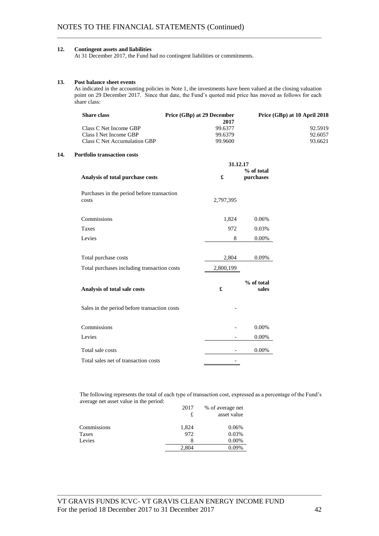### **12. Contingent assets and liabilities**

At 31 December 2017, the Fund had no contingent liabilities or commitments.

### **13. Post balance sheet events**

As indicated in the accounting policies in Note 1, the investments have been valued at the closing valuation point on 29 December 2017. Since that date, the Fund's quoted mid price has moved as follows for each share class:

|     | <b>Share</b> class                           | Price (GBp) at 29 December<br>2017 |                     | Price (GBp) at 10 April 2018 |
|-----|----------------------------------------------|------------------------------------|---------------------|------------------------------|
|     | Class C Net Income GBP                       | 99.6377                            |                     | 92.5919                      |
|     | Class I Net Income GBP                       | 99.6379                            |                     | 92.6057                      |
|     | Class C Net Accumulation GBP                 | 99.9600                            |                     | 93.6621                      |
| 14. | <b>Portfolio transaction costs</b>           |                                    |                     |                              |
|     |                                              | 31.12.17                           |                     |                              |
|     |                                              |                                    | % of total          |                              |
|     | Analysis of total purchase costs             | £                                  | purchases           |                              |
|     | Purchases in the period before transaction   |                                    |                     |                              |
|     | costs                                        | 2,797,395                          |                     |                              |
|     | Commissions                                  | 1,824                              | 0.06%               |                              |
|     |                                              |                                    |                     |                              |
|     | Taxes                                        | 972                                | 0.03%               |                              |
|     | Levies                                       | $\,$ 8 $\,$                        | $0.00\%$            |                              |
|     | Total purchase costs                         | 2,804                              | 0.09%               |                              |
|     | Total purchases including transaction costs  | 2,800,199                          |                     |                              |
|     | Analysis of total sale costs                 | £                                  | % of total<br>sales |                              |
|     | Sales in the period before transaction costs |                                    |                     |                              |
|     | Commissions                                  |                                    | 0.00%               |                              |
|     | Levies                                       |                                    | 0.00%               |                              |
|     | Total sale costs                             |                                    | 0.00%               |                              |
|     | Total sales net of transaction costs         |                                    |                     |                              |

The following represents the total of each type of transaction cost, expressed as a percentage of the Fund's average net asset value in the period:

|             | 2017  | % of average net |
|-------------|-------|------------------|
|             | £     | asset value      |
| Commissions | 1,824 | 0.06%            |
| Taxes       | 972   | 0.03%            |
| Levies      |       | 0.00%            |
|             | 2,804 | 0.09%            |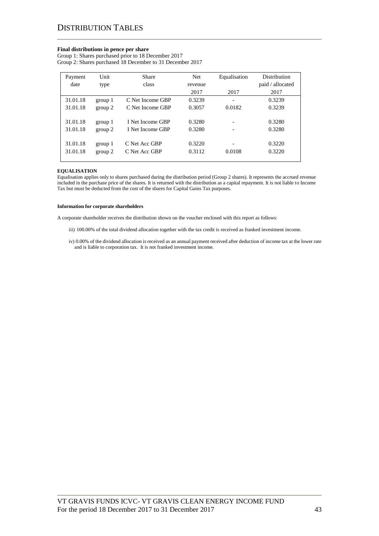### **Final distributions in pence per share**

Group 1: Shares purchased prior to 18 December 2017 Group 2: Shares purchased 18 December to 31 December 2017

| Payment<br>date | Unit<br>type | Share<br>class   | Net<br>revenue | Equalisation | Distribution<br>paid / allocated |
|-----------------|--------------|------------------|----------------|--------------|----------------------------------|
|                 |              |                  | 2017           | 2017         | 2017                             |
| 31.01.18        | group 1      | C Net Income GBP | 0.3239         |              | 0.3239                           |
| 31.01.18        | group 2      | C Net Income GBP | 0.3057         | 0.0182       | 0.3239                           |
|                 |              |                  |                |              |                                  |
| 31.01.18        | group 1      | I Net Income GBP | 0.3280         |              | 0.3280                           |
| 31.01.18        | group 2      | I Net Income GBP | 0.3280         |              | 0.3280                           |
|                 |              |                  |                |              |                                  |
| 31.01.18        | group 1      | C Net Acc GBP    | 0.3220         | -            | 0.3220                           |
| 31.01.18        | group 2      | C Net Acc GBP    | 0.3112         | 0.0108       | 0.3220                           |
|                 |              |                  |                |              |                                  |

### **EQUALISATION**

Equalisation applies only to shares purchased during the distribution period (Group 2 shares). It represents the accrued revenue included in the purchase price of the shares. It is returned with the distribution as a capital repayment. It is not liable to Income Tax but must be deducted from the cost of the shares for Capital Gains Tax purposes.

### **Information for corporate shareholders**

A corporate shareholder receives the distribution shown on the voucher enclosed with this report as follows:

- iii) 100.00% of the total dividend allocation together with the tax credit is received as franked investment income.
- iv) 0.00% of the dividend allocation is received as an annual payment received after deduction of income tax at the lower rate and is liable to corporation tax. It is not franked investment income.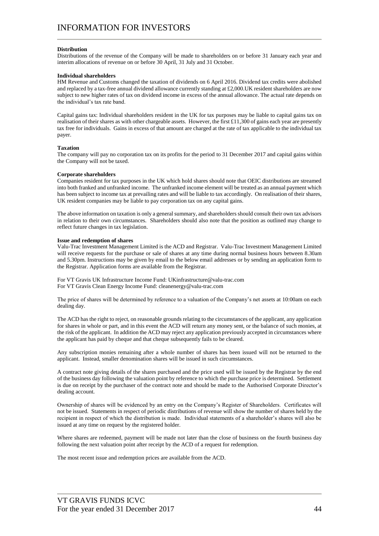### **Distribution**

Distributions of the revenue of the Company will be made to shareholders on or before 31 January each year and interim allocations of revenue on or before 30 April, 31 July and 31 October.

### **Individual shareholders**

HM Revenue and Customs changed the taxation of dividends on 6 April 2016. Dividend tax credits were abolished and replaced by a tax-free annual dividend allowance currently standing at £2,000.UK resident shareholders are now subject to new higher rates of tax on dividend income in excess of the annual allowance. The actual rate depends on the individual's tax rate band.

Capital gains tax: Individual shareholders resident in the UK for tax purposes may be liable to capital gains tax on realisation of their shares as with other chargeable assets. However, the first £11,300 of gains each year are presently tax free for individuals. Gains in excess of that amount are charged at the rate of tax applicable to the individual tax payer.

### **Taxation**

The company will pay no corporation tax on its profits for the period to 31 December 2017 and capital gains within the Company will not be taxed.

#### **Corporate shareholders**

Companies resident for tax purposes in the UK which hold shares should note that OEIC distributions are streamed into both franked and unfranked income. The unfranked income element will be treated as an annual payment which has been subject to income tax at prevailing rates and will be liable to tax accordingly. On realisation of their shares, UK resident companies may be liable to pay corporation tax on any capital gains.

The above information on taxation is only a general summary, and shareholders should consult their own tax advisors in relation to their own circumstances. Shareholders should also note that the position as outlined may change to reflect future changes in tax legislation.

#### **Issue and redemption of shares**

Valu-Trac Investment Management Limited is the ACD and Registrar. Valu-Trac Investment Management Limited will receive requests for the purchase or sale of shares at any time during normal business hours between 8.30am and 5.30pm. Instructions may be given by email to the below email addresses or by sending an application form to the Registrar. Application forms are available from the Registrar.

For VT Gravis UK Infrastructure Income Fund: UKinfrastructure@valu-trac.com For VT Gravis Clean Energy Income Fund: cleanenergy@valu-trac.com

The price of shares will be determined by reference to a valuation of the Company's net assets at 10:00am on each dealing day.

The ACD has the right to reject, on reasonable grounds relating to the circumstances of the applicant, any application for shares in whole or part, and in this event the ACD will return any money sent, or the balance of such monies, at the risk of the applicant. In addition the ACD may reject any application previously accepted in circumstances where the applicant has paid by cheque and that cheque subsequently fails to be cleared.

Any subscription monies remaining after a whole number of shares has been issued will not be returned to the applicant. Instead, smaller denomination shares will be issued in such circumstances.

A contract note giving details of the shares purchased and the price used will be issued by the Registrar by the end of the business day following the valuation point by reference to which the purchase price is determined. Settlement is due on receipt by the purchaser of the contract note and should be made to the Authorised Corporate Director's dealing account.

Ownership of shares will be evidenced by an entry on the Company's Register of Shareholders. Certificates will not be issued. Statements in respect of periodic distributions of revenue will show the number of shares held by the recipient in respect of which the distribution is made. Individual statements of a shareholder's shares will also be issued at any time on request by the registered holder.

Where shares are redeemed, payment will be made not later than the close of business on the fourth business day following the next valuation point after receipt by the ACD of a request for redemption.

The most recent issue and redemption prices are available from the ACD.